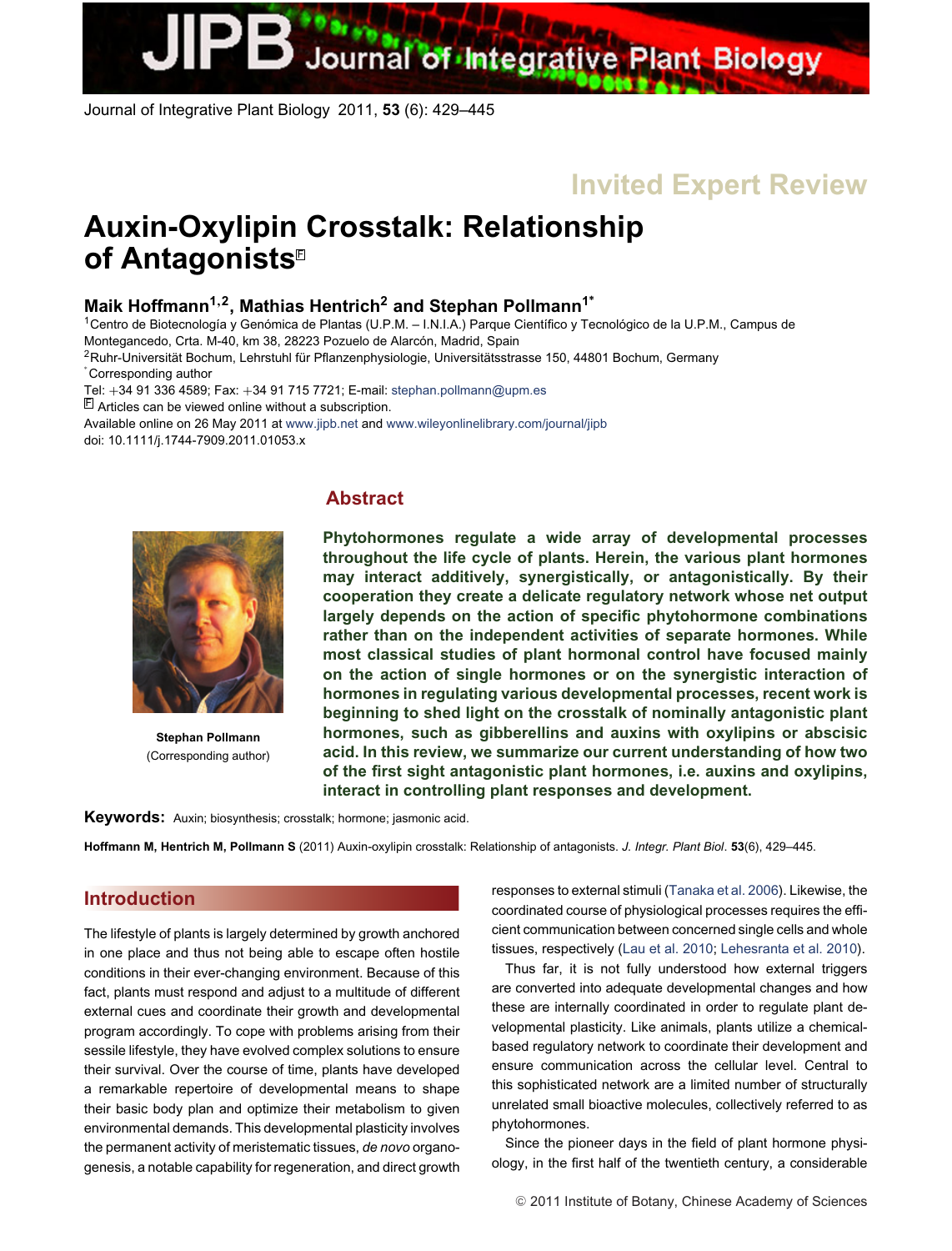Journal of Integrative Plant Biology

Journal of Integrative Plant Biology 2011, **53** (6): 429–445

## **Invited Expert Review**

# **Auxin-Oxylipin Crosstalk: Relationship of Antagonists**

## **Maik Hoffmann<sup>1,2</sup>, Mathias Hentrich<sup>2</sup> and Stephan Pollmann<sup>1</sup><sup>\*</sup>**

<sup>1</sup>Centro de Biotecnología y Genómica de Plantas (U.P.M. – I.N.I.A.) Parque Científico y Tecnológico de la U.P.M., Campus de Montegancedo, Crta. M-40, km 38, 28223 Pozuelo de Alarcón, Madrid, Spain

 $2$ Ruhr-Universität Bochum, Lehrstuhl für Pflanzenphysiologie, Universitätsstrasse 150, 44801 Bochum, Germany

∗ Corresponding author

Tel: +34 91 336 4589; Fax: +34 91 715 7721; E-mail: [stephan.pollmann@upm.es](mailto:stephan.pollmann@upm.es)

 $E$  Articles can be viewed online without a subscription.

Available online on 26 May 2011 at [www.jipb.net](file:www.jipb.net) and www.wileyonlinelibrary.com/journal/jipb

doi: 10.1111/j.1744-7909.2011.01053.x



**Stephan Pollmann** (Corresponding author)

#### **Abstract**

**Phytohormones regulate a wide array of developmental processes throughout the life cycle of plants. Herein, the various plant hormones may interact additively, synergistically, or antagonistically. By their cooperation they create a delicate regulatory network whose net output largely depends on the action of specific phytohormone combinations rather than on the independent activities of separate hormones. While most classical studies of plant hormonal control have focused mainly on the action of single hormones or on the synergistic interaction of hormones in regulating various developmental processes, recent work is beginning to shed light on the crosstalk of nominally antagonistic plant hormones, such as gibberellins and auxins with oxylipins or abscisic acid. In this review, we summarize our current understanding of how two of the first sight antagonistic plant hormones, i.e. auxins and oxylipins, interact in controlling plant responses and development.**

**Keywords:** Auxin; biosynthesis; crosstalk; hormone; jasmonic acid.

**Hoffmann M, Hentrich M, Pollmann S** (2011) Auxin-oxylipin crosstalk: Relationship of antagonists. *J. Integr. Plant Biol*. **53**(6), 429–445.

#### **[Introduction](/app/teTeX/techbooks/blackwell/jipb/Head.eps)**

The lifestyle of plants is largely determined by growth anchored in one place and thus not being able to escape often hostile conditions in their ever-changing environment. Because of this fact, plants must respond and adjust to a multitude of different external cues and coordinate their growth and developmental program accordingly. To cope with problems arising from their sessile lifestyle, they have evolved complex solutions to ensure their survival. Over the course of time, plants have developed a remarkable repertoire of developmental means to shape their basic body plan and optimize their metabolism to given environmental demands. This developmental plasticity involves the permanent activity of meristematic tissues, *de novo* organogenesis, a notable capability for regeneration, and direct growth

responses to external stimuli [\(Tanaka et al. 2006\)](#page-15-0). Likewise, the coordinated course of physiological processes requires the efficient communication between concerned single cells and whole tissues, respectively [\(Lau et al. 2010;](#page-13-0) [Lehesranta et al. 2010\)](#page-13-1).

Thus far, it is not fully understood how external triggers are converted into adequate developmental changes and how these are internally coordinated in order to regulate plant developmental plasticity. Like animals, plants utilize a chemicalbased regulatory network to coordinate their development and ensure communication across the cellular level. Central to this sophisticated network are a limited number of structurally unrelated small bioactive molecules, collectively referred to as phytohormones.

Since the pioneer days in the field of plant hormone physiology, in the first half of the twentieth century, a considerable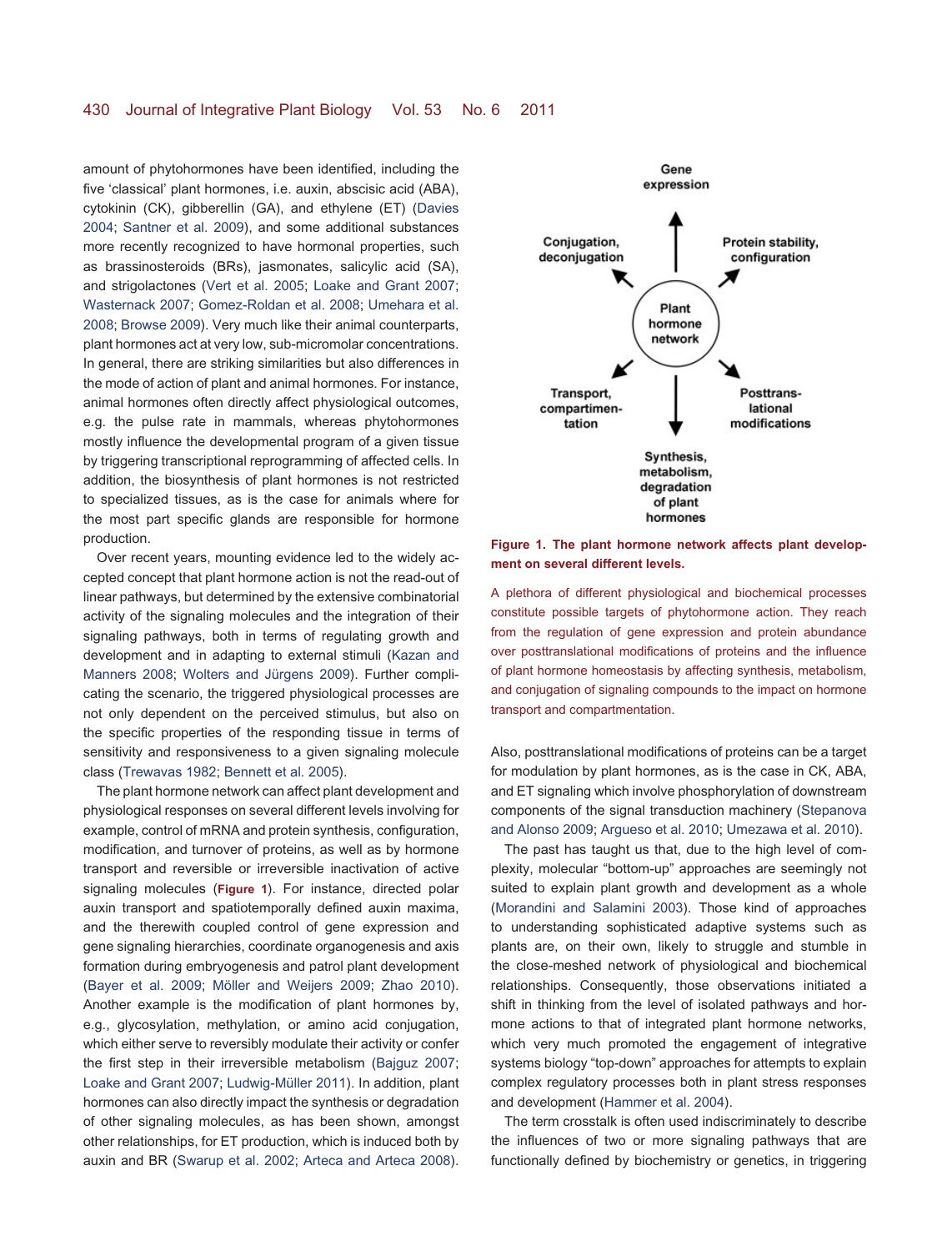amount of phytohormones have been identified, including the five 'classical' plant hormones, i.e. auxin, abscisic acid (ABA), cytokinin (CK), gibberellin (GA), and ethylene (ET) [\(Davies](#page-12-0) [2004;](#page-12-0) [Santner et al. 2009\)](#page-14-0), and some additional substances more recently recognized to have hormonal properties, such as brassinosteroids (BRs), jasmonates, salicylic acid (SA), and strigolactones [\(Vert et al. 2005;](#page-15-1) [Loake and Grant 2007;](#page-13-2) [Wasternack 2007;](#page-15-2) [Gomez-Roldan et al. 2008;](#page-12-1) [Umehara et al.](#page-15-3) [2008;](#page-15-3) [Browse 2009\)](#page-11-0). Very much like their animal counterparts, plant hormones act at very low, sub-micromolar concentrations. In general, there are striking similarities but also differences in the mode of action of plant and animal hormones. For instance, animal hormones often directly affect physiological outcomes, e.g. the pulse rate in mammals, whereas phytohormones mostly influence the developmental program of a given tissue by triggering transcriptional reprogramming of affected cells. In addition, the biosynthesis of plant hormones is not restricted to specialized tissues, as is the case for animals where for the most part specific glands are responsible for hormone production.

Over recent years, mounting evidence led to the widely accepted concept that plant hormone action is not the read-out of linear pathways, but determined by the extensive combinatorial activity of the signaling molecules and the integration of their signaling pathways, both in terms of regulating growth and development and in adapting to external stimuli [\(Kazan and](#page-13-3) [Manners 2008;](#page-13-3) Wolters and Jürgens 2009). Further complicating the scenario, the triggered physiological processes are not only dependent on the perceived stimulus, but also on the specific properties of the responding tissue in terms of sensitivity and responsiveness to a given signaling molecule class [\(Trewavas 1982;](#page-15-5) [Bennett et al. 2005\)](#page-11-1).

The plant hormone network can affect plant development and physiological responses on several different levels involving for example, control of mRNA and protein synthesis, configuration, modification, and turnover of proteins, as well as by hormone transport and reversible or irreversible inactivation of active signaling molecules (**[Figure 1](#page-1-0)**). For instance, directed polar auxin transport and spatiotemporally defined auxin maxima, and the therewith coupled control of gene expression and gene signaling hierarchies, coordinate organogenesis and axis formation during embryogenesis and patrol plant development [\(Bayer et al. 2009;](#page-11-2) Möller and Weijers 2009; [Zhao 2010\)](#page-16-0). Another example is the modification of plant hormones by, e.g., glycosylation, methylation, or amino acid conjugation, which either serve to reversibly modulate their activity or confer the first step in their irreversible metabolism [\(Bajguz 2007;](#page-11-3) [Loake and Grant 2007;](#page-13-2) Ludwig-Müller 2011). In addition, plant hormones can also directly impact the synthesis or degradation of other signaling molecules, as has been shown, amongst other relationships, for ET production, which is induced both by auxin and BR [\(Swarup et al. 2002;](#page-15-6) [Arteca and Arteca 2008\)](#page-11-4).



<span id="page-1-0"></span>**Figure 1. The plant hormone network affects plant development on several different levels.**

A plethora of different physiological and biochemical processes constitute possible targets of phytohormone action. They reach from the regulation of gene expression and protein abundance over posttranslational modifications of proteins and the influence of plant hormone homeostasis by affecting synthesis, metabolism, and conjugation of signaling compounds to the impact on hormone transport and compartmentation.

Also, posttranslational modifications of proteins can be a target for modulation by plant hormones, as is the case in CK, ABA, and ET signaling which involve phosphorylation of downstream components of the signal transduction machinery [\(Stepanova](#page-15-7) [and Alonso 2009;](#page-15-7) [Argueso et al. 2010;](#page-11-5) [Umezawa et al. 2010\)](#page-15-8).

The past has taught us that, due to the high level of complexity, molecular "bottom-up" approaches are seemingly not suited to explain plant growth and development as a whole [\(Morandini and Salamini 2003\)](#page-13-6). Those kind of approaches to understanding sophisticated adaptive systems such as plants are, on their own, likely to struggle and stumble in the close-meshed network of physiological and biochemical relationships. Consequently, those observations initiated a shift in thinking from the level of isolated pathways and hormone actions to that of integrated plant hormone networks, which very much promoted the engagement of integrative systems biology "top-down" approaches for attempts to explain complex regulatory processes both in plant stress responses and development [\(Hammer et al. 2004\)](#page-13-7).

The term crosstalk is often used indiscriminately to describe the influences of two or more signaling pathways that are functionally defined by biochemistry or genetics, in triggering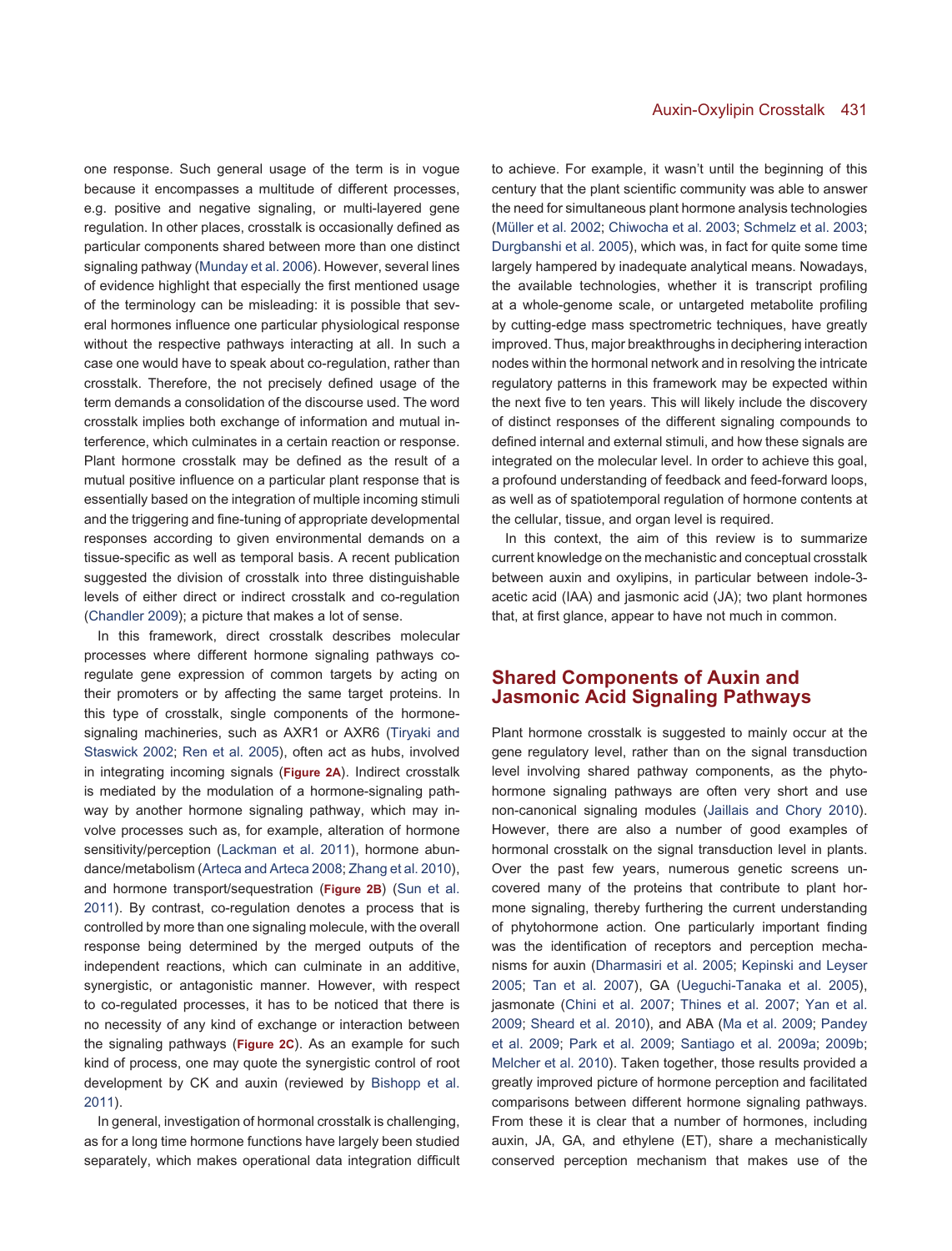one response. Such general usage of the term is in vogue because it encompasses a multitude of different processes, e.g. positive and negative signaling, or multi-layered gene regulation. In other places, crosstalk is occasionally defined as particular components shared between more than one distinct signaling pathway [\(Munday et al. 2006\)](#page-13-8). However, several lines of evidence highlight that especially the first mentioned usage of the terminology can be misleading: it is possible that several hormones influence one particular physiological response without the respective pathways interacting at all. In such a case one would have to speak about co-regulation, rather than crosstalk. Therefore, the not precisely defined usage of the term demands a consolidation of the discourse used. The word crosstalk implies both exchange of information and mutual interference, which culminates in a certain reaction or response. Plant hormone crosstalk may be defined as the result of a mutual positive influence on a particular plant response that is essentially based on the integration of multiple incoming stimuli and the triggering and fine-tuning of appropriate developmental responses according to given environmental demands on a tissue-specific as well as temporal basis. A recent publication suggested the division of crosstalk into three distinguishable levels of either direct or indirect crosstalk and co-regulation [\(Chandler 2009\)](#page-11-6); a picture that makes a lot of sense.

In this framework, direct crosstalk describes molecular processes where different hormone signaling pathways coregulate gene expression of common targets by acting on their promoters or by affecting the same target proteins. In this type of crosstalk, single components of the hormonesignaling machineries, such as AXR1 or AXR6 [\(Tiryaki and](#page-15-9) [Staswick 2002;](#page-15-9) [Ren et al. 2005\)](#page-14-1), often act as hubs, involved in integrating incoming signals (**[Figure 2A](#page-3-0)**). Indirect crosstalk is mediated by the modulation of a hormone-signaling pathway by another hormone signaling pathway, which may involve processes such as, for example, alteration of hormone sensitivity/perception [\(Lackman et al. 2011\)](#page-13-9), hormone abundance/metabolism [\(Arteca and Arteca 2008;](#page-11-4) [Zhang et al. 2010\)](#page-16-1), and hormone transport/sequestration (**[Figure 2B](#page-3-0)**) [\(Sun et al.](#page-15-10) [2011\)](#page-15-10). By contrast, co-regulation denotes a process that is controlled by more than one signaling molecule, with the overall response being determined by the merged outputs of the independent reactions, which can culminate in an additive, synergistic, or antagonistic manner. However, with respect to co-regulated processes, it has to be noticed that there is no necessity of any kind of exchange or interaction between the signaling pathways (**[Figure 2C](#page-3-0)**). As an example for such kind of process, one may quote the synergistic control of root development by CK and auxin (reviewed by [Bishopp et al.](#page-11-7) [2011\)](#page-11-7).

In general, investigation of hormonal crosstalk is challenging, as for a long time hormone functions have largely been studied separately, which makes operational data integration difficult to achieve. For example, it wasn't until the beginning of this century that the plant scientific community was able to answer the need for simultaneous plant hormone analysis technologies (Müller et al. 2002; [Chiwocha et al. 2003;](#page-11-8) [Schmelz et al. 2003;](#page-14-2) [Durgbanshi et al. 2005\)](#page-12-2), which was, in fact for quite some time largely hampered by inadequate analytical means. Nowadays, the available technologies, whether it is transcript profiling at a whole-genome scale, or untargeted metabolite profiling by cutting-edge mass spectrometric techniques, have greatly improved. Thus, major breakthroughs in deciphering interaction nodes within the hormonal network and in resolving the intricate regulatory patterns in this framework may be expected within the next five to ten years. This will likely include the discovery of distinct responses of the different signaling compounds to defined internal and external stimuli, and how these signals are integrated on the molecular level. In order to achieve this goal, a profound understanding of feedback and feed-forward loops, as well as of spatiotemporal regulation of hormone contents at the cellular, tissue, and organ level is required.

In this context, the aim of this review is to summarize current knowledge on the mechanistic and conceptual crosstalk between auxin and oxylipins, in particular between indole-3 acetic acid (IAA) and jasmonic acid (JA); two plant hormones that, at first glance, appear to have not much in common.

## **Shared Components of Auxin and Jasmonic Acid Signaling Pathways**

Plant hormone crosstalk is suggested to mainly occur at the gene regulatory level, rather than on the signal transduction level involving shared pathway components, as the phytohormone signaling pathways are often very short and use non-canonical signaling modules [\(Jaillais and Chory 2010\)](#page-13-11). However, there are also a number of good examples of hormonal crosstalk on the signal transduction level in plants. Over the past few years, numerous genetic screens uncovered many of the proteins that contribute to plant hormone signaling, thereby furthering the current understanding of phytohormone action. One particularly important finding was the identification of receptors and perception mechanisms for auxin [\(Dharmasiri et al. 2005;](#page-12-3) [Kepinski and Leyser](#page-13-12) [2005;](#page-13-12) [Tan et al. 2007\)](#page-15-11), GA [\(Ueguchi-Tanaka et al. 2005\)](#page-15-12), jasmonate [\(Chini et al. 2007;](#page-11-9) [Thines et al. 2007;](#page-15-13) [Yan et al.](#page-16-2) [2009;](#page-16-2) [Sheard et al. 2010\)](#page-14-3), and ABA [\(Ma et al. 2009;](#page-13-13) [Pandey](#page-14-4) [et al. 2009;](#page-14-4) [Park et al. 2009;](#page-14-5) [Santiago et al. 2009a;](#page-14-6) [2009b;](#page-14-7) [Melcher et al. 2010\)](#page-13-14). Taken together, those results provided a greatly improved picture of hormone perception and facilitated comparisons between different hormone signaling pathways. From these it is clear that a number of hormones, including auxin, JA, GA, and ethylene (ET), share a mechanistically conserved perception mechanism that makes use of the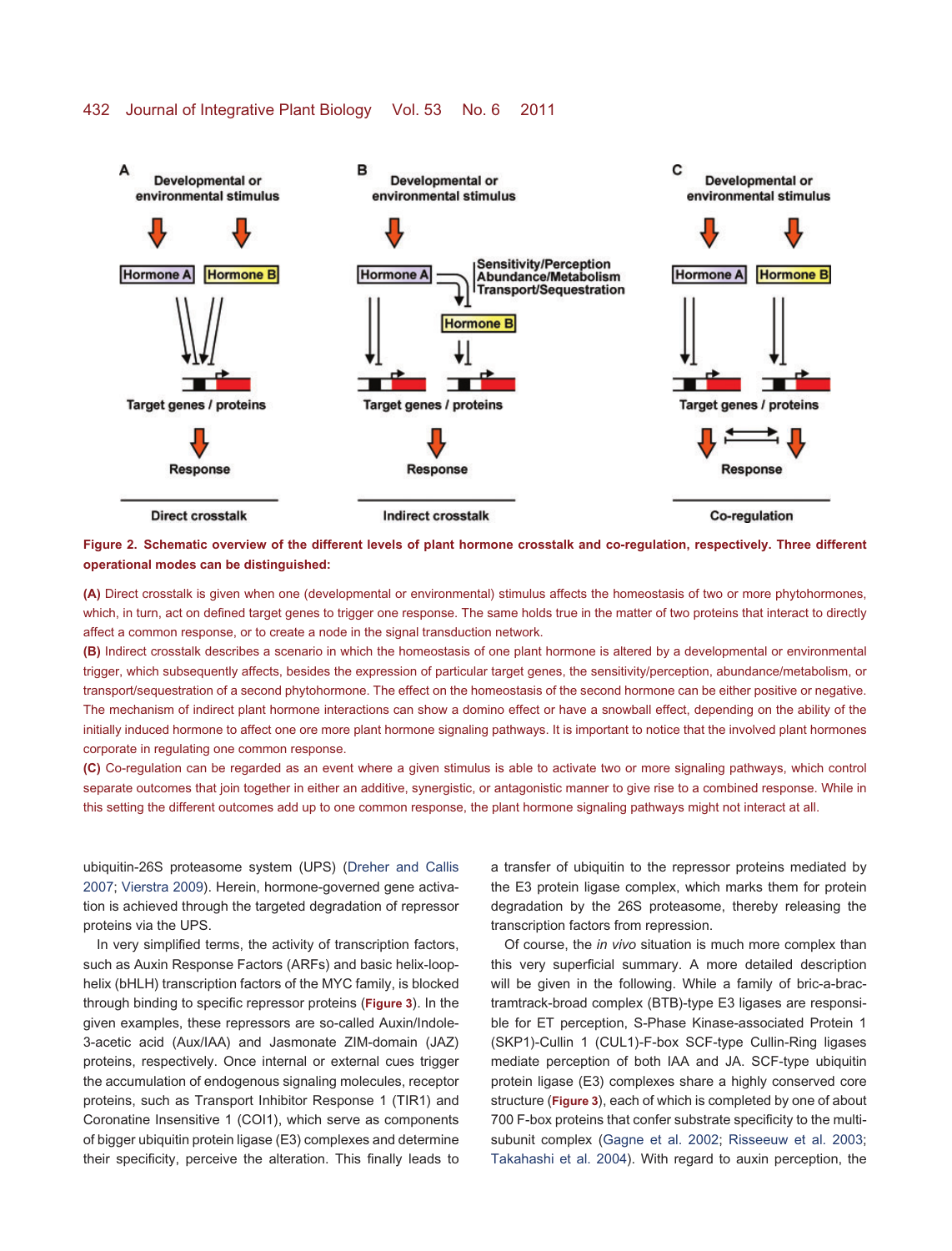#### 432 Journal of Integrative Plant Biology Vol. 53 No. 6 2011



#### <span id="page-3-0"></span>**Figure 2. Schematic overview of the different levels of plant hormone crosstalk and co-regulation, respectively. Three different operational modes can be distinguished:**

**(A)** Direct crosstalk is given when one (developmental or environmental) stimulus affects the homeostasis of two or more phytohormones, which, in turn, act on defined target genes to trigger one response. The same holds true in the matter of two proteins that interact to directly affect a common response, or to create a node in the signal transduction network.

**(B)** Indirect crosstalk describes a scenario in which the homeostasis of one plant hormone is altered by a developmental or environmental trigger, which subsequently affects, besides the expression of particular target genes, the sensitivity/perception, abundance/metabolism, or transport/sequestration of a second phytohormone. The effect on the homeostasis of the second hormone can be either positive or negative. The mechanism of indirect plant hormone interactions can show a domino effect or have a snowball effect, depending on the ability of the initially induced hormone to affect one ore more plant hormone signaling pathways. It is important to notice that the involved plant hormones corporate in regulating one common response.

**(C)** Co-regulation can be regarded as an event where a given stimulus is able to activate two or more signaling pathways, which control separate outcomes that join together in either an additive, synergistic, or antagonistic manner to give rise to a combined response. While in this setting the different outcomes add up to one common response, the plant hormone signaling pathways might not interact at all.

ubiquitin-26S proteasome system (UPS) [\(Dreher and Callis](#page-12-4) [2007;](#page-12-4) [Vierstra 2009\)](#page-15-14). Herein, hormone-governed gene activation is achieved through the targeted degradation of repressor proteins via the UPS.

In very simplified terms, the activity of transcription factors, such as Auxin Response Factors (ARFs) and basic helix-loophelix (bHLH) transcription factors of the MYC family, is blocked through binding to specific repressor proteins (**[Figure 3](#page-4-0)**). In the given examples, these repressors are so-called Auxin/Indole-3-acetic acid (Aux/IAA) and Jasmonate ZIM-domain (JAZ) proteins, respectively. Once internal or external cues trigger the accumulation of endogenous signaling molecules, receptor proteins, such as Transport Inhibitor Response 1 (TIR1) and Coronatine Insensitive 1 (COI1), which serve as components of bigger ubiquitin protein ligase (E3) complexes and determine their specificity, perceive the alteration. This finally leads to a transfer of ubiquitin to the repressor proteins mediated by the E3 protein ligase complex, which marks them for protein degradation by the 26S proteasome, thereby releasing the transcription factors from repression.

Of course, the *in vivo* situation is much more complex than this very superficial summary. A more detailed description will be given in the following. While a family of bric-a-bractramtrack-broad complex (BTB)-type E3 ligases are responsible for ET perception, S-Phase Kinase-associated Protein 1 (SKP1)-Cullin 1 (CUL1)-F-box SCF-type Cullin-Ring ligases mediate perception of both IAA and JA. SCF-type ubiquitin protein ligase (E3) complexes share a highly conserved core structure (**[Figure 3](#page-4-0)**), each of which is completed by one of about 700 F-box proteins that confer substrate specificity to the multisubunit complex [\(Gagne et al. 2002;](#page-12-5) [Risseeuw et al. 2003;](#page-14-8) [Takahashi et al. 2004\)](#page-15-15). With regard to auxin perception, the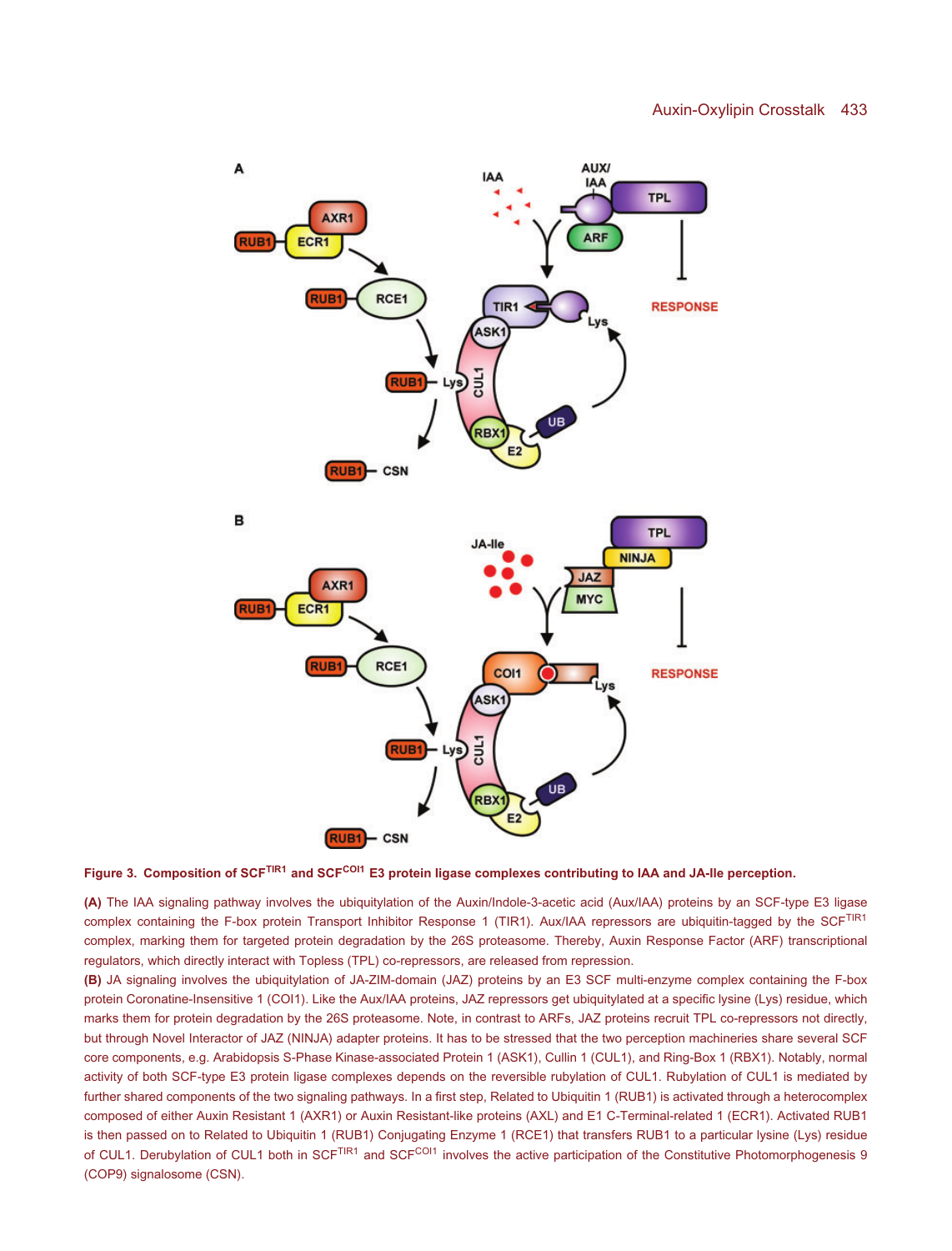

<span id="page-4-0"></span>

**(A)** The IAA signaling pathway involves the ubiquitylation of the Auxin/Indole-3-acetic acid (Aux/IAA) proteins by an SCF-type E3 ligase complex containing the F-box protein Transport Inhibitor Response 1 (TIR1). Aux/IAA repressors are ubiquitin-tagged by the SCFTIR1 complex, marking them for targeted protein degradation by the 26S proteasome. Thereby, Auxin Response Factor (ARF) transcriptional regulators, which directly interact with Topless (TPL) co-repressors, are released from repression.

**(B)** JA signaling involves the ubiquitylation of JA-ZIM-domain (JAZ) proteins by an E3 SCF multi-enzyme complex containing the F-box protein Coronatine-Insensitive 1 (COI1). Like the Aux/IAA proteins, JAZ repressors get ubiquitylated at a specific lysine (Lys) residue, which marks them for protein degradation by the 26S proteasome. Note, in contrast to ARFs, JAZ proteins recruit TPL co-repressors not directly, but through Novel Interactor of JAZ (NINJA) adapter proteins. It has to be stressed that the two perception machineries share several SCF core components, e.g. Arabidopsis S-Phase Kinase-associated Protein 1 (ASK1), Cullin 1 (CUL1), and Ring-Box 1 (RBX1). Notably, normal activity of both SCF-type E3 protein ligase complexes depends on the reversible rubylation of CUL1. Rubylation of CUL1 is mediated by further shared components of the two signaling pathways. In a first step, Related to Ubiquitin 1 (RUB1) is activated through a heterocomplex composed of either Auxin Resistant 1 (AXR1) or Auxin Resistant-like proteins (AXL) and E1 C-Terminal-related 1 (ECR1). Activated RUB1 is then passed on to Related to Ubiquitin 1 (RUB1) Conjugating Enzyme 1 (RCE1) that transfers RUB1 to a particular lysine (Lys) residue of CUL1. Derubylation of CUL1 both in SCFTIR1 and SCF<sup>COI1</sup> involves the active participation of the Constitutive Photomorphogenesis 9 (COP9) signalosome (CSN).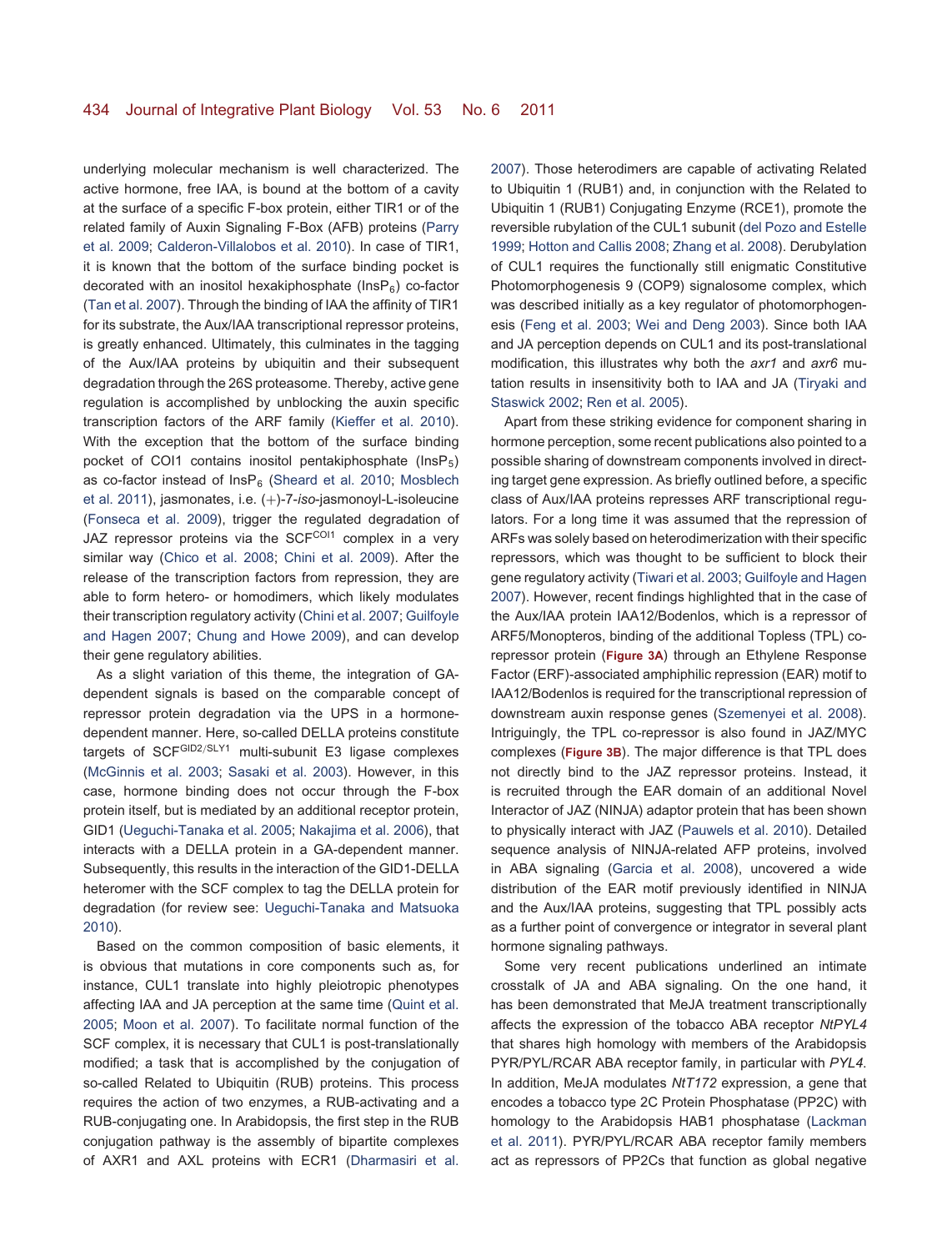underlying molecular mechanism is well characterized. The active hormone, free IAA, is bound at the bottom of a cavity at the surface of a specific F-box protein, either TIR1 or of the related family of Auxin Signaling F-Box (AFB) proteins [\(Parry](#page-14-9) [et al. 2009;](#page-14-9) [Calderon-Villalobos et al. 2010\)](#page-11-10). In case of TIR1, it is known that the bottom of the surface binding pocket is decorated with an inositol hexakiphosphate ( $InSP<sub>6</sub>$ ) co-factor [\(Tan et al. 2007\)](#page-15-11). Through the binding of IAA the affinity of TIR1 for its substrate, the Aux/IAA transcriptional repressor proteins, is greatly enhanced. Ultimately, this culminates in the tagging of the Aux/IAA proteins by ubiquitin and their subsequent degradation through the 26S proteasome. Thereby, active gene regulation is accomplished by unblocking the auxin specific transcription factors of the ARF family [\(Kieffer et al. 2010\)](#page-13-15). With the exception that the bottom of the surface binding pocket of COI1 contains inositol pentakiphosphate ( $InSP<sub>5</sub>$ ) as co-factor instead of  $InSP_6$  [\(Sheard et al. 2010;](#page-14-3) [Mosblech](#page-13-16) [et al. 2011\)](#page-13-16), jasmonates, i.e. (+)-7-*iso*-jasmonoyl-L-isoleucine [\(Fonseca et al. 2009\)](#page-12-6), trigger the regulated degradation of JAZ repressor proteins via the SCF<sup>COI1</sup> complex in a very similar way [\(Chico et al. 2008;](#page-11-11) [Chini et al. 2009\)](#page-11-12). After the release of the transcription factors from repression, they are able to form hetero- or homodimers, which likely modulates their transcription regulatory activity [\(Chini et al. 2007;](#page-11-9) [Guilfoyle](#page-13-17) [and Hagen 2007;](#page-13-17) [Chung and Howe 2009\)](#page-12-7), and can develop their gene regulatory abilities.

As a slight variation of this theme, the integration of GAdependent signals is based on the comparable concept of repressor protein degradation via the UPS in a hormonedependent manner. Here, so-called DELLA proteins constitute targets of SCFGID2/SLY1 multi-subunit E3 ligase complexes [\(McGinnis et al. 2003;](#page-13-18) [Sasaki et al. 2003\)](#page-14-10). However, in this case, hormone binding does not occur through the F-box protein itself, but is mediated by an additional receptor protein, GID1 [\(Ueguchi-Tanaka et al. 2005;](#page-15-12) [Nakajima et al. 2006\)](#page-14-11), that interacts with a DELLA protein in a GA-dependent manner. Subsequently, this results in the interaction of the GID1-DELLA heteromer with the SCF complex to tag the DELLA protein for degradation (for review see: [Ueguchi-Tanaka and Matsuoka](#page-15-16) [2010\)](#page-15-16).

Based on the common composition of basic elements, it is obvious that mutations in core components such as, for instance, CUL1 translate into highly pleiotropic phenotypes affecting IAA and JA perception at the same time [\(Quint et al.](#page-14-12) [2005;](#page-14-12) [Moon et al. 2007\)](#page-13-19). To facilitate normal function of the SCF complex, it is necessary that CUL1 is post-translationally modified; a task that is accomplished by the conjugation of so-called Related to Ubiquitin (RUB) proteins. This process requires the action of two enzymes, a RUB-activating and a RUB-conjugating one. In Arabidopsis, the first step in the RUB conjugation pathway is the assembly of bipartite complexes of AXR1 and AXL proteins with ECR1 (Dharmasiri et al. 2007). Those heterodimers are capable of activating Related to Ubiquitin 1 (RUB1) and, in conjunction with the Related to Ubiquitin 1 (RUB1) Conjugating Enzyme (RCE1), promote the reversible rubylation of the CUL1 subunit [\(del Pozo and Estelle](#page-12-9) [1999;](#page-12-9) [Hotton and Callis 2008;](#page-13-20) [Zhang et al. 2008\)](#page-16-3). Derubylation of CUL1 requires the functionally still enigmatic Constitutive Photomorphogenesis 9 (COP9) signalosome complex, which was described initially as a key regulator of photomorphogenesis [\(Feng et al. 2003;](#page-12-10) [Wei and Deng 2003\)](#page-15-17). Since both IAA and JA perception depends on CUL1 and its post-translational modification, this illustrates why both the *axr1* and *axr6* mutation results in insensitivity both to IAA and JA [\(Tiryaki and](#page-15-9) [Staswick 2002;](#page-15-9) [Ren et al. 2005\)](#page-14-1).

Apart from these striking evidence for component sharing in hormone perception, some recent publications also pointed to a possible sharing of downstream components involved in directing target gene expression. As briefly outlined before, a specific class of Aux/IAA proteins represses ARF transcriptional regulators. For a long time it was assumed that the repression of ARFs was solely based on heterodimerization with their specific repressors, which was thought to be sufficient to block their gene regulatory activity [\(Tiwari et al. 2003;](#page-15-18) [Guilfoyle and Hagen](#page-13-17) [2007\)](#page-13-17). However, recent findings highlighted that in the case of the Aux/IAA protein IAA12/Bodenlos, which is a repressor of ARF5/Monopteros, binding of the additional Topless (TPL) corepressor protein (**[Figure 3A](#page-4-0)**) through an Ethylene Response Factor (ERF)-associated amphiphilic repression (EAR) motif to IAA12/Bodenlos is required for the transcriptional repression of downstream auxin response genes [\(Szemenyei et al. 2008\)](#page-15-19). Intriguingly, the TPL co-repressor is also found in JAZ/MYC complexes (**[Figure 3B](#page-4-0)**). The major difference is that TPL does not directly bind to the JAZ repressor proteins. Instead, it is recruited through the EAR domain of an additional Novel Interactor of JAZ (NINJA) adaptor protein that has been shown to physically interact with JAZ [\(Pauwels et al. 2010\)](#page-14-13). Detailed sequence analysis of NINJA-related AFP proteins, involved in ABA signaling [\(Garcia et al. 2008\)](#page-12-11), uncovered a wide distribution of the EAR motif previously identified in NINJA and the Aux/IAA proteins, suggesting that TPL possibly acts as a further point of convergence or integrator in several plant hormone signaling pathways.

Some very recent publications underlined an intimate crosstalk of JA and ABA signaling. On the one hand, it has been demonstrated that MeJA treatment transcriptionally affects the expression of the tobacco ABA receptor *NtPYL4* that shares high homology with members of the Arabidopsis PYR/PYL/RCAR ABA receptor family, in particular with *PYL4*. In addition, MeJA modulates *NtT172* expression, a gene that encodes a tobacco type 2C Protein Phosphatase (PP2C) with homology to the Arabidopsis HAB1 phosphatase [\(Lackman](#page-13-9) [et al. 2011\)](#page-13-9). PYR/PYL/RCAR ABA receptor family members act as repressors of PP2Cs that function as global negative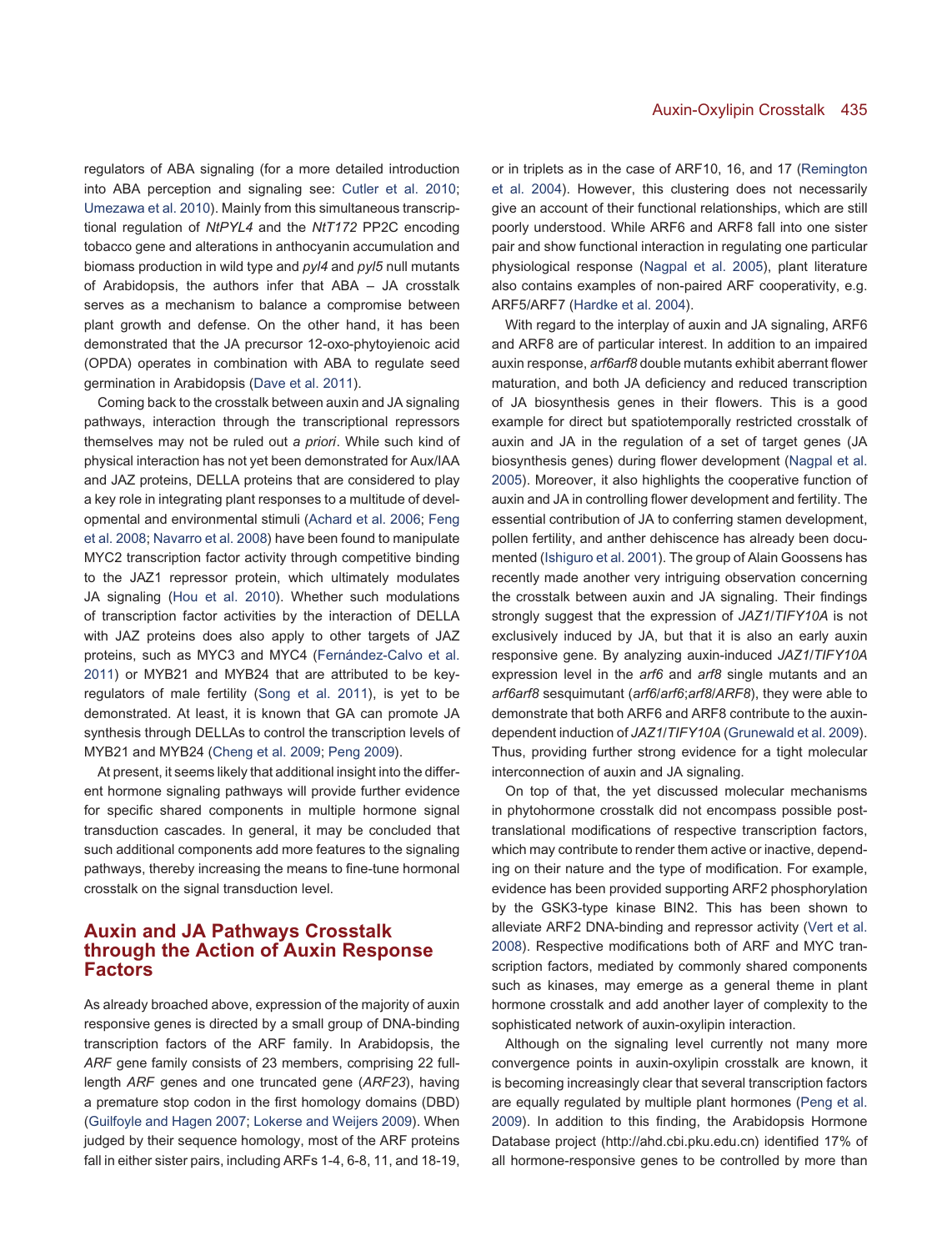regulators of ABA signaling (for a more detailed introduction into ABA perception and signaling see: [Cutler et al. 2010;](#page-12-12) [Umezawa et al. 2010\)](#page-15-8). Mainly from this simultaneous transcriptional regulation of *NtPYL4* and the *NtT172* PP2C encoding tobacco gene and alterations in anthocyanin accumulation and biomass production in wild type and *pyl4* and *pyl5* null mutants of Arabidopsis, the authors infer that ABA – JA crosstalk serves as a mechanism to balance a compromise between plant growth and defense. On the other hand, it has been demonstrated that the JA precursor 12-oxo-phytoyienoic acid (OPDA) operates in combination with ABA to regulate seed germination in Arabidopsis [\(Dave et al. 2011\)](#page-12-13).

Coming back to the crosstalk between auxin and JA signaling pathways, interaction through the transcriptional repressors themselves may not be ruled out *a priori*. While such kind of physical interaction has not yet been demonstrated for Aux/IAA and JAZ proteins, DELLA proteins that are considered to play a key role in integrating plant responses to a multitude of developmental and environmental stimuli [\(Achard et al. 2006;](#page-11-13) [Feng](#page-12-14) [et al. 2008;](#page-12-14) [Navarro et al. 2008\)](#page-14-14) have been found to manipulate MYC2 transcription factor activity through competitive binding to the JAZ1 repressor protein, which ultimately modulates JA signaling [\(Hou et al. 2010\)](#page-13-21). Whether such modulations of transcription factor activities by the interaction of DELLA with JAZ proteins does also apply to other targets of JAZ proteins, such as MYC3 and MYC4 (Fernández-Calvo et al. [2011\)](#page-12-15) or MYB21 and MYB24 that are attributed to be keyregulators of male fertility [\(Song et al. 2011\)](#page-14-15), is yet to be demonstrated. At least, it is known that GA can promote JA synthesis through DELLAs to control the transcription levels of MYB21 and MYB24 [\(Cheng et al. 2009;](#page-11-14) [Peng 2009\)](#page-14-16).

At present, it seems likely that additional insight into the different hormone signaling pathways will provide further evidence for specific shared components in multiple hormone signal transduction cascades. In general, it may be concluded that such additional components add more features to the signaling pathways, thereby increasing the means to fine-tune hormonal crosstalk on the signal transduction level.

## **Auxin and JA Pathways Crosstalk through the Action of Auxin Response Factors**

As already broached above, expression of the majority of auxin responsive genes is directed by a small group of DNA-binding transcription factors of the ARF family. In Arabidopsis, the *ARF* gene family consists of 23 members, comprising 22 fulllength *ARF* genes and one truncated gene (*ARF23*), having a premature stop codon in the first homology domains (DBD) [\(Guilfoyle and Hagen 2007;](#page-13-17) [Lokerse and Weijers 2009\)](#page-13-22). When judged by their sequence homology, most of the ARF proteins fall in either sister pairs, including ARFs 1-4, 6-8, 11, and 18-19, or in triplets as in the case of ARF10, 16, and 17 [\(Remington](#page-14-17) [et al. 2004\)](#page-14-17). However, this clustering does not necessarily give an account of their functional relationships, which are still poorly understood. While ARF6 and ARF8 fall into one sister pair and show functional interaction in regulating one particular physiological response [\(Nagpal et al. 2005\)](#page-13-23), plant literature also contains examples of non-paired ARF cooperativity, e.g. ARF5/ARF7 [\(Hardke et al. 2004\)](#page-13-7).

With regard to the interplay of auxin and JA signaling, ARF6 and ARF8 are of particular interest. In addition to an impaired auxin response, *arf6arf8* double mutants exhibit aberrant flower maturation, and both JA deficiency and reduced transcription of JA biosynthesis genes in their flowers. This is a good example for direct but spatiotemporally restricted crosstalk of auxin and JA in the regulation of a set of target genes (JA biosynthesis genes) during flower development [\(Nagpal et al.](#page-13-23) [2005\)](#page-13-23). Moreover, it also highlights the cooperative function of auxin and JA in controlling flower development and fertility. The essential contribution of JA to conferring stamen development, pollen fertility, and anther dehiscence has already been documented [\(Ishiguro et al. 2001\)](#page-13-24). The group of Alain Goossens has recently made another very intriguing observation concerning the crosstalk between auxin and JA signaling. Their findings strongly suggest that the expression of *JAZ1/TIFY10A* is not exclusively induced by JA, but that it is also an early auxin responsive gene. By analyzing auxin-induced *JAZ1/TIFY10A* expression level in the *arf6* and *arf8* single mutants and an *arf6arf8* sesquimutant (*arf6*/*arf6*;*arf8*/*ARF8*), they were able to demonstrate that both ARF6 and ARF8 contribute to the auxindependent induction of *JAZ1/TIFY10A* [\(Grunewald et al. 2009\)](#page-12-16). Thus, providing further strong evidence for a tight molecular interconnection of auxin and JA signaling.

On top of that, the yet discussed molecular mechanisms in phytohormone crosstalk did not encompass possible posttranslational modifications of respective transcription factors, which may contribute to render them active or inactive, depending on their nature and the type of modification. For example, evidence has been provided supporting ARF2 phosphorylation by the GSK3-type kinase BIN2. This has been shown to alleviate ARF2 DNA-binding and repressor activity [\(Vert et al.](#page-15-20) [2008\)](#page-15-20). Respective modifications both of ARF and MYC transcription factors, mediated by commonly shared components such as kinases, may emerge as a general theme in plant hormone crosstalk and add another layer of complexity to the sophisticated network of auxin-oxylipin interaction.

Although on the signaling level currently not many more convergence points in auxin-oxylipin crosstalk are known, it is becoming increasingly clear that several transcription factors are equally regulated by multiple plant hormones [\(Peng et al.](#page-14-18) [2009\)](#page-14-18). In addition to this finding, the Arabidopsis Hormone Database project (http://ahd.cbi.pku.edu.cn) identified 17% of all hormone-responsive genes to be controlled by more than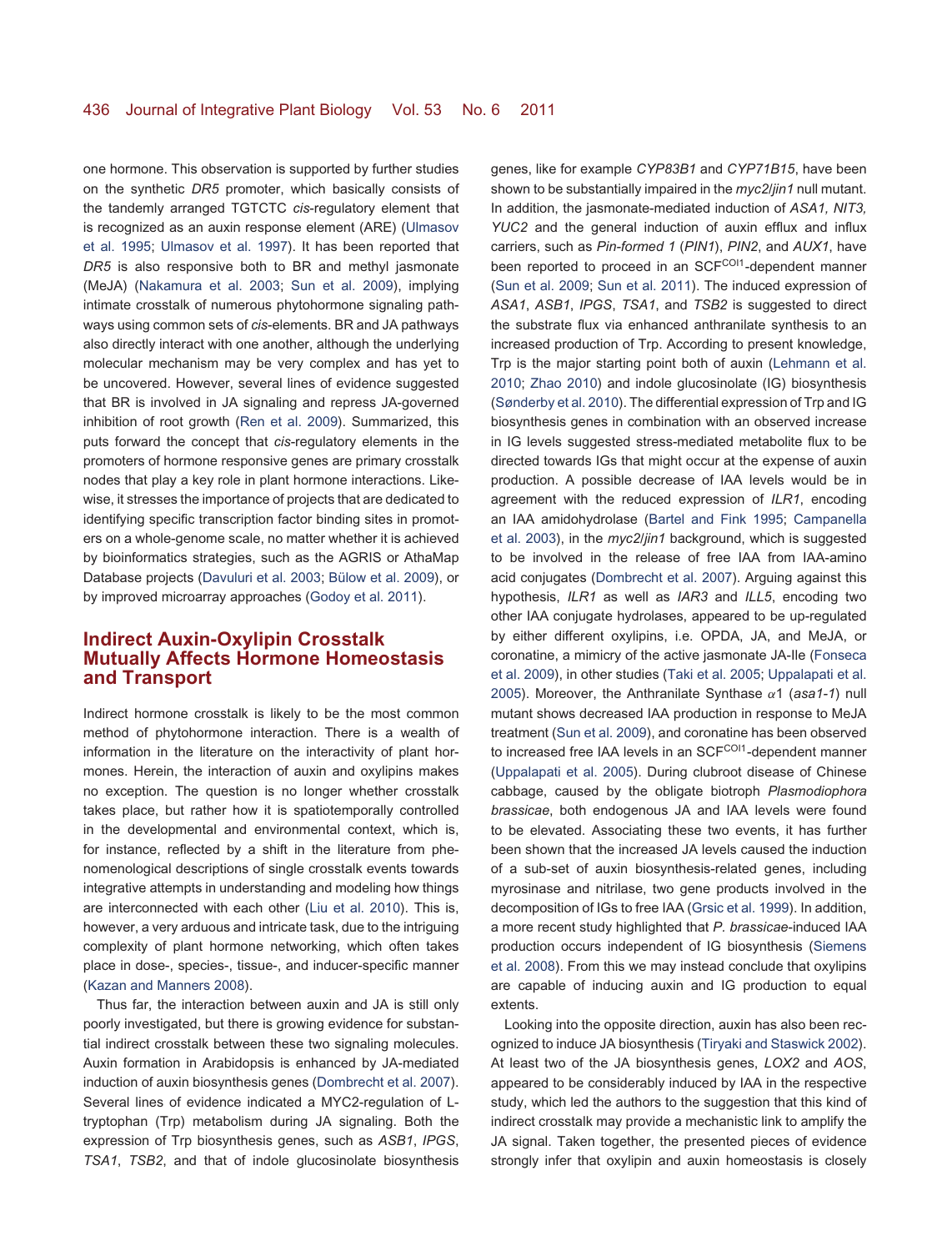one hormone. This observation is supported by further studies on the synthetic *DR5* promoter, which basically consists of the tandemly arranged TGTCTC *cis*-regulatory element that is recognized as an auxin response element (ARE) [\(Ulmasov](#page-15-21) [et al. 1995;](#page-15-21) [Ulmasov et al. 1997\)](#page-15-22). It has been reported that *DR5* is also responsive both to BR and methyl jasmonate (MeJA) [\(Nakamura et al. 2003;](#page-14-19) [Sun et al. 2009\)](#page-15-23), implying intimate crosstalk of numerous phytohormone signaling pathways using common sets of *cis*-elements. BR and JA pathways also directly interact with one another, although the underlying molecular mechanism may be very complex and has yet to be uncovered. However, several lines of evidence suggested that BR is involved in JA signaling and repress JA-governed inhibition of root growth [\(Ren et al. 2009\)](#page-14-20). Summarized, this puts forward the concept that *cis*-regulatory elements in the promoters of hormone responsive genes are primary crosstalk nodes that play a key role in plant hormone interactions. Likewise, it stresses the importance of projects that are dedicated to identifying specific transcription factor binding sites in promoters on a whole-genome scale, no matter whether it is achieved by bioinformatics strategies, such as the AGRIS or AthaMap Database projects [\(Davuluri et al. 2003;](#page-12-17) Bülow et al. 2009), or by improved microarray approaches [\(Godoy et al. 2011\)](#page-12-18).

#### **Indirect Auxin-Oxylipin Crosstalk Mutually Affects Hormone Homeostasis and Transport**

Indirect hormone crosstalk is likely to be the most common method of phytohormone interaction. There is a wealth of information in the literature on the interactivity of plant hormones. Herein, the interaction of auxin and oxylipins makes no exception. The question is no longer whether crosstalk takes place, but rather how it is spatiotemporally controlled in the developmental and environmental context, which is, for instance, reflected by a shift in the literature from phenomenological descriptions of single crosstalk events towards integrative attempts in understanding and modeling how things are interconnected with each other [\(Liu et al. 2010\)](#page-13-25). This is, however, a very arduous and intricate task, due to the intriguing complexity of plant hormone networking, which often takes place in dose-, species-, tissue-, and inducer-specific manner [\(Kazan and Manners 2008\)](#page-13-3).

Thus far, the interaction between auxin and JA is still only poorly investigated, but there is growing evidence for substantial indirect crosstalk between these two signaling molecules. Auxin formation in Arabidopsis is enhanced by JA-mediated induction of auxin biosynthesis genes [\(Dombrecht et al. 2007\)](#page-12-19). Several lines of evidence indicated a MYC2-regulation of Ltryptophan (Trp) metabolism during JA signaling. Both the expression of Trp biosynthesis genes, such as *ASB1*, *IPGS*, *TSA1*, *TSB2*, and that of indole glucosinolate biosynthesis

genes, like for example *CYP83B1* and *CYP71B15*, have been shown to be substantially impaired in the *myc2*/*jin1* null mutant. In addition, the jasmonate-mediated induction of *ASA1, NIT3, YUC2* and the general induction of auxin efflux and influx carriers, such as *Pin-formed 1* (*PIN1*), *PIN2*, and *AUX1*, have been reported to proceed in an SCFCOI1-dependent manner [\(Sun et al. 2009;](#page-15-23) [Sun et al. 2011\)](#page-15-10). The induced expression of *ASA1*, *ASB1*, *IPGS*, *TSA1*, and *TSB2* is suggested to direct the substrate flux via enhanced anthranilate synthesis to an increased production of Trp. According to present knowledge, Trp is the major starting point both of auxin [\(Lehmann et al.](#page-13-26) [2010;](#page-13-26) [Zhao 2010\)](#page-16-0) and indole glucosinolate (IG) biosynthesis [\(Sønderby et al. 2010\)](#page-14-21). The differential expression of Trp and IG biosynthesis genes in combination with an observed increase in IG levels suggested stress-mediated metabolite flux to be directed towards IGs that might occur at the expense of auxin production. A possible decrease of IAA levels would be in agreement with the reduced expression of *ILR1*, encoding an IAA amidohydrolase [\(Bartel and Fink 1995;](#page-11-16) [Campanella](#page-11-17) [et al. 2003\)](#page-11-17), in the *myc2*/*jin1* background, which is suggested to be involved in the release of free IAA from IAA-amino acid conjugates [\(Dombrecht et al. 2007\)](#page-12-19). Arguing against this hypothesis, *ILR1* as well as *IAR3* and *ILL5*, encoding two other IAA conjugate hydrolases, appeared to be up-regulated by either different oxylipins, i.e. OPDA, JA, and MeJA, or coronatine, a mimicry of the active jasmonate JA-Ile [\(Fonseca](#page-12-6) [et al. 2009\)](#page-12-6), in other studies [\(Taki et al. 2005;](#page-15-24) [Uppalapati et al.](#page-15-25) [2005\)](#page-15-25). Moreover, the Anthranilate Synthase α1 (*asa1-1*) null mutant shows decreased IAA production in response to MeJA treatment [\(Sun et al. 2009\)](#page-15-23), and coronatine has been observed to increased free IAA levels in an SCFCOI1-dependent manner [\(Uppalapati et al. 2005\)](#page-15-25). During clubroot disease of Chinese cabbage, caused by the obligate biotroph *Plasmodiophora brassicae*, both endogenous JA and IAA levels were found to be elevated. Associating these two events, it has further been shown that the increased JA levels caused the induction of a sub-set of auxin biosynthesis-related genes, including myrosinase and nitrilase, two gene products involved in the decomposition of IGs to free IAA [\(Grsic et al. 1999\)](#page-12-20). In addition, a more recent study highlighted that *P. brassicae*-induced IAA production occurs independent of IG biosynthesis [\(Siemens](#page-14-22) [et al. 2008\)](#page-14-22). From this we may instead conclude that oxylipins are capable of inducing auxin and IG production to equal extents.

Looking into the opposite direction, auxin has also been recognized to induce JA biosynthesis [\(Tiryaki and Staswick 2002\)](#page-15-9). At least two of the JA biosynthesis genes, *LOX2* and *AOS*, appeared to be considerably induced by IAA in the respective study, which led the authors to the suggestion that this kind of indirect crosstalk may provide a mechanistic link to amplify the JA signal. Taken together, the presented pieces of evidence strongly infer that oxylipin and auxin homeostasis is closely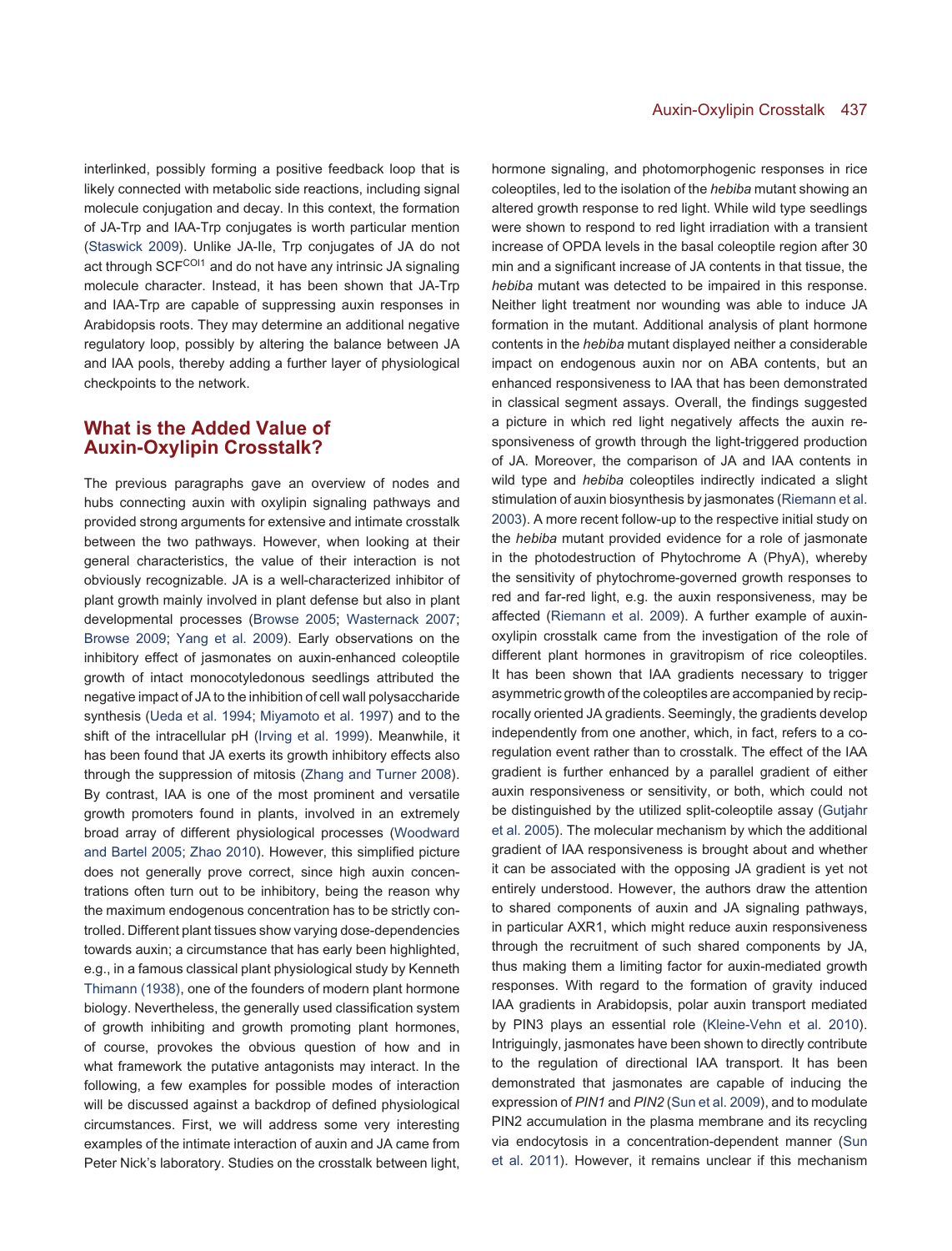interlinked, possibly forming a positive feedback loop that is likely connected with metabolic side reactions, including signal molecule conjugation and decay. In this context, the formation of JA-Trp and IAA-Trp conjugates is worth particular mention [\(Staswick 2009\)](#page-15-26). Unlike JA-Ile, Trp conjugates of JA do not act through SCFCOI1 and do not have any intrinsic JA signaling molecule character. Instead, it has been shown that JA-Trp and IAA-Trp are capable of suppressing auxin responses in Arabidopsis roots. They may determine an additional negative regulatory loop, possibly by altering the balance between JA and IAA pools, thereby adding a further layer of physiological checkpoints to the network.

## **What is the Added Value of Auxin-Oxylipin Crosstalk?**

The previous paragraphs gave an overview of nodes and hubs connecting auxin with oxylipin signaling pathways and provided strong arguments for extensive and intimate crosstalk between the two pathways. However, when looking at their general characteristics, the value of their interaction is not obviously recognizable. JA is a well-characterized inhibitor of plant growth mainly involved in plant defense but also in plant developmental processes [\(Browse 2005;](#page-11-18) [Wasternack 2007;](#page-15-2) [Browse 2009;](#page-11-0) [Yang et al. 2009\)](#page-16-4). Early observations on the inhibitory effect of jasmonates on auxin-enhanced coleoptile growth of intact monocotyledonous seedlings attributed the negative impact of JA to the inhibition of cell wall polysaccharide synthesis [\(Ueda et al. 1994;](#page-15-27) [Miyamoto et al. 1997\)](#page-13-27) and to the shift of the intracellular pH [\(Irving et al. 1999\)](#page-13-28). Meanwhile, it has been found that JA exerts its growth inhibitory effects also through the suppression of mitosis [\(Zhang and Turner 2008\)](#page-16-5). By contrast, IAA is one of the most prominent and versatile growth promoters found in plants, involved in an extremely broad array of different physiological processes [\(Woodward](#page-15-28) [and Bartel 2005;](#page-15-28) [Zhao 2010\)](#page-16-0). However, this simplified picture does not generally prove correct, since high auxin concentrations often turn out to be inhibitory, being the reason why the maximum endogenous concentration has to be strictly controlled. Different plant tissues show varying dose-dependencies towards auxin; a circumstance that has early been highlighted, e.g., in a famous classical plant physiological study by Kenneth [Thimann \(1938\),](#page-15-29) one of the founders of modern plant hormone biology. Nevertheless, the generally used classification system of growth inhibiting and growth promoting plant hormones, of course, provokes the obvious question of how and in what framework the putative antagonists may interact. In the following, a few examples for possible modes of interaction will be discussed against a backdrop of defined physiological circumstances. First, we will address some very interesting examples of the intimate interaction of auxin and JA came from Peter Nick's laboratory. Studies on the crosstalk between light,

hormone signaling, and photomorphogenic responses in rice coleoptiles, led to the isolation of the *hebiba* mutant showing an altered growth response to red light. While wild type seedlings were shown to respond to red light irradiation with a transient increase of OPDA levels in the basal coleoptile region after 30 min and a significant increase of JA contents in that tissue, the *hebiba* mutant was detected to be impaired in this response. Neither light treatment nor wounding was able to induce JA formation in the mutant. Additional analysis of plant hormone contents in the *hebiba* mutant displayed neither a considerable impact on endogenous auxin nor on ABA contents, but an enhanced responsiveness to IAA that has been demonstrated in classical segment assays. Overall, the findings suggested a picture in which red light negatively affects the auxin responsiveness of growth through the light-triggered production of JA. Moreover, the comparison of JA and IAA contents in wild type and *hebiba* coleoptiles indirectly indicated a slight stimulation of auxin biosynthesis by jasmonates [\(Riemann et al.](#page-14-23) [2003\)](#page-14-23). A more recent follow-up to the respective initial study on the *hebiba* mutant provided evidence for a role of jasmonate in the photodestruction of Phytochrome A (PhyA), whereby the sensitivity of phytochrome-governed growth responses to red and far-red light, e.g. the auxin responsiveness, may be affected [\(Riemann et al. 2009\)](#page-14-24). A further example of auxinoxylipin crosstalk came from the investigation of the role of different plant hormones in gravitropism of rice coleoptiles. It has been shown that IAA gradients necessary to trigger asymmetric growth of the coleoptiles are accompanied by reciprocally oriented JA gradients. Seemingly, the gradients develop independently from one another, which, in fact, refers to a coregulation event rather than to crosstalk. The effect of the IAA gradient is further enhanced by a parallel gradient of either auxin responsiveness or sensitivity, or both, which could not be distinguished by the utilized split-coleoptile assay [\(Gutjahr](#page-13-29) [et al. 2005\)](#page-13-29). The molecular mechanism by which the additional gradient of IAA responsiveness is brought about and whether it can be associated with the opposing JA gradient is yet not entirely understood. However, the authors draw the attention to shared components of auxin and JA signaling pathways, in particular AXR1, which might reduce auxin responsiveness through the recruitment of such shared components by JA, thus making them a limiting factor for auxin-mediated growth responses. With regard to the formation of gravity induced IAA gradients in Arabidopsis, polar auxin transport mediated by PIN3 plays an essential role [\(Kleine-Vehn et al. 2010\)](#page-13-30). Intriguingly, jasmonates have been shown to directly contribute to the regulation of directional IAA transport. It has been demonstrated that jasmonates are capable of inducing the expression of *PIN1* and *PIN2* [\(Sun et al. 2009\)](#page-15-23), and to modulate PIN2 accumulation in the plasma membrane and its recycling via endocytosis in a concentration-dependent manner [\(Sun](#page-15-10) [et al. 2011\)](#page-15-10). However, it remains unclear if this mechanism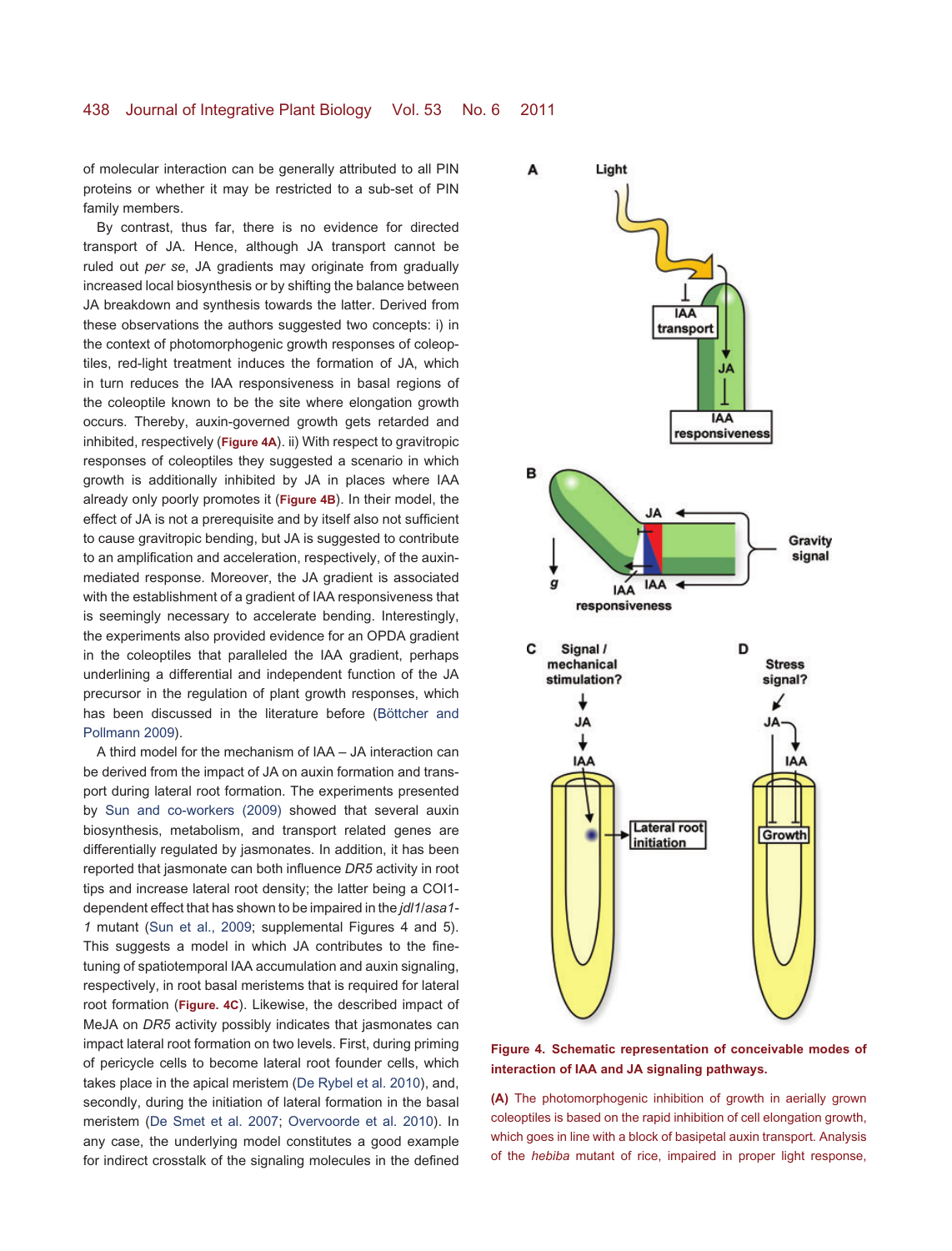of molecular interaction can be generally attributed to all PIN proteins or whether it may be restricted to a sub-set of PIN family members.

By contrast, thus far, there is no evidence for directed transport of JA. Hence, although JA transport cannot be ruled out *per se*, JA gradients may originate from gradually increased local biosynthesis or by shifting the balance between JA breakdown and synthesis towards the latter. Derived from these observations the authors suggested two concepts: i) in the context of photomorphogenic growth responses of coleoptiles, red-light treatment induces the formation of JA, which in turn reduces the IAA responsiveness in basal regions of the coleoptile known to be the site where elongation growth occurs. Thereby, auxin-governed growth gets retarded and inhibited, respectively (**[Figure 4A](#page-9-0)**). ii) With respect to gravitropic responses of coleoptiles they suggested a scenario in which growth is additionally inhibited by JA in places where IAA already only poorly promotes it (**[Figure 4B](#page-9-0)**). In their model, the effect of JA is not a prerequisite and by itself also not sufficient to cause gravitropic bending, but JA is suggested to contribute to an amplification and acceleration, respectively, of the auxinmediated response. Moreover, the JA gradient is associated with the establishment of a gradient of IAA responsiveness that is seemingly necessary to accelerate bending. Interestingly, the experiments also provided evidence for an OPDA gradient in the coleoptiles that paralleled the IAA gradient, perhaps underlining a differential and independent function of the JA precursor in the regulation of plant growth responses, which has been discussed in the literature before (Böttcher and [Pollmann 2009\)](#page-11-19).

A third model for the mechanism of IAA – JA interaction can be derived from the impact of JA on auxin formation and transport during lateral root formation. The experiments presented by [Sun and co-workers \(2009\)](#page-15-23) showed that several auxin biosynthesis, metabolism, and transport related genes are differentially regulated by jasmonates. In addition, it has been reported that jasmonate can both influence *DR5* activity in root tips and increase lateral root density; the latter being a COI1 dependent effect that has shown to be impaired in the *jdl1*/*asa1- 1* mutant [\(Sun et al., 2009;](#page-15-23) supplemental Figures 4 and 5). This suggests a model in which JA contributes to the finetuning of spatiotemporal IAA accumulation and auxin signaling, respectively, in root basal meristems that is required for lateral root formation (**[Figure. 4C](#page-9-0)**). Likewise, the described impact of MeJA on *DR5* activity possibly indicates that jasmonates can impact lateral root formation on two levels. First, during priming of pericycle cells to become lateral root founder cells, which takes place in the apical meristem [\(De Rybel et al. 2010\)](#page-12-21), and, secondly, during the initiation of lateral formation in the basal meristem [\(De Smet et al. 2007;](#page-12-22) [Overvoorde et al. 2010\)](#page-14-25). In any case, the underlying model constitutes a good example for indirect crosstalk of the signaling molecules in the defined



<span id="page-9-0"></span>**Figure 4. Schematic representation of conceivable modes of interaction of IAA and JA signaling pathways.**

**(A)** The photomorphogenic inhibition of growth in aerially grown coleoptiles is based on the rapid inhibition of cell elongation growth, which goes in line with a block of basipetal auxin transport. Analysis of the *hebiba* mutant of rice, impaired in proper light response,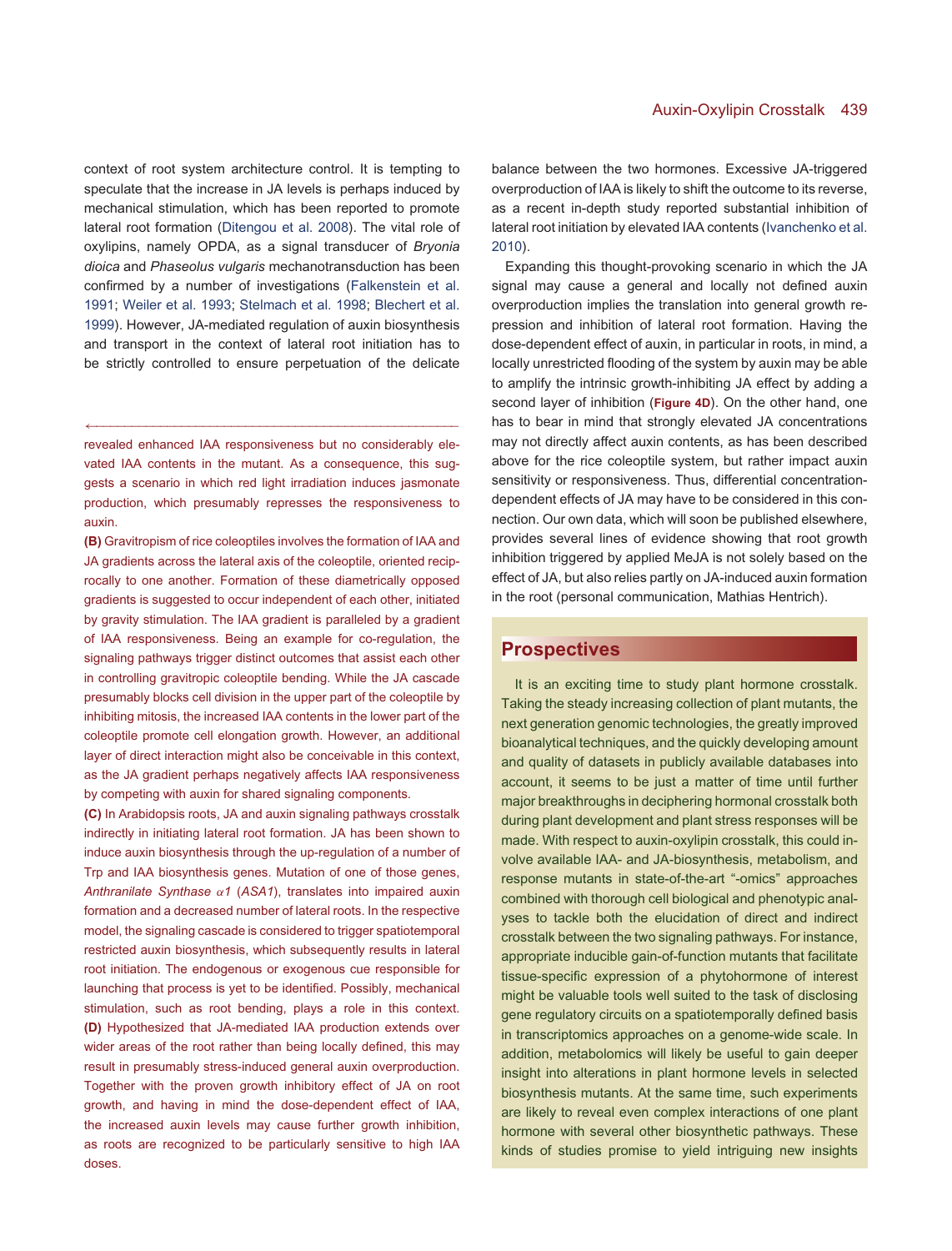context of root system architecture control. It is tempting to speculate that the increase in JA levels is perhaps induced by mechanical stimulation, which has been reported to promote lateral root formation [\(Ditengou et al. 2008\)](#page-12-23). The vital role of oxylipins, namely OPDA, as a signal transducer of *Bryonia dioica* and *Phaseolus vulgaris* mechanotransduction has been confirmed by a number of investigations [\(Falkenstein et al.](#page-12-24) [1991;](#page-12-24) [Weiler et al. 1993;](#page-15-30) [Stelmach et al. 1998;](#page-15-31) [Blechert et al.](#page-11-20) [1999\)](#page-11-20). However, JA-mediated regulation of auxin biosynthesis and transport in the context of lateral root initiation has to be strictly controlled to ensure perpetuation of the delicate

revealed enhanced IAA responsiveness but no considerably elevated IAA contents in the mutant. As a consequence, this suggests a scenario in which red light irradiation induces jasmonate production, which presumably represses the responsiveness to auxin.

←−−−−−−−−−−−−−−−−−−−−−−−−−−−−−−−−−−−−−−−−−−−−−−−−−−−

**(B)** Gravitropism of rice coleoptiles involves the formation of IAA and JA gradients across the lateral axis of the coleoptile, oriented reciprocally to one another. Formation of these diametrically opposed gradients is suggested to occur independent of each other, initiated by gravity stimulation. The IAA gradient is paralleled by a gradient of IAA responsiveness. Being an example for co-regulation, the signaling pathways trigger distinct outcomes that assist each other in controlling gravitropic coleoptile bending. While the JA cascade presumably blocks cell division in the upper part of the coleoptile by inhibiting mitosis, the increased IAA contents in the lower part of the coleoptile promote cell elongation growth. However, an additional layer of direct interaction might also be conceivable in this context, as the JA gradient perhaps negatively affects IAA responsiveness by competing with auxin for shared signaling components.

**(C)** In Arabidopsis roots, JA and auxin signaling pathways crosstalk indirectly in initiating lateral root formation. JA has been shown to induce auxin biosynthesis through the up-regulation of a number of Trp and IAA biosynthesis genes. Mutation of one of those genes, *Anthranilate Synthase* α*1* (*ASA1*), translates into impaired auxin formation and a decreased number of lateral roots. In the respective model, the signaling cascade is considered to trigger spatiotemporal restricted auxin biosynthesis, which subsequently results in lateral root initiation. The endogenous or exogenous cue responsible for launching that process is yet to be identified. Possibly, mechanical stimulation, such as root bending, plays a role in this context. **(D)** Hypothesized that JA-mediated IAA production extends over wider areas of the root rather than being locally defined, this may result in presumably stress-induced general auxin overproduction. Together with the proven growth inhibitory effect of JA on root growth, and having in mind the dose-dependent effect of IAA, the increased auxin levels may cause further growth inhibition, as roots are recognized to be particularly sensitive to high IAA doses.

balance between the two hormones. Excessive JA-triggered overproduction of IAA is likely to shift the outcome to its reverse, as a recent in-depth study reported substantial inhibition of lateral root initiation by elevated IAA contents [\(Ivanchenko et al.](#page-13-31) [2010\)](#page-13-31).

Expanding this thought-provoking scenario in which the JA signal may cause a general and locally not defined auxin overproduction implies the translation into general growth repression and inhibition of lateral root formation. Having the dose-dependent effect of auxin, in particular in roots, in mind, a locally unrestricted flooding of the system by auxin may be able to amplify the intrinsic growth-inhibiting JA effect by adding a second layer of inhibition (**[Figure 4D](#page-9-0)**). On the other hand, one has to bear in mind that strongly elevated JA concentrations may not directly affect auxin contents, as has been described above for the rice coleoptile system, but rather impact auxin sensitivity or responsiveness. Thus, differential concentrationdependent effects of JA may have to be considered in this connection. Our own data, which will soon be published elsewhere, provides several lines of evidence showing that root growth inhibition triggered by applied MeJA is not solely based on the effect of JA, but also relies partly on JA-induced auxin formation in the root (personal communication, Mathias Hentrich).

#### **[Prospectives](/app/teTeX/techbooks/blackwell/jipb/Head.eps)**

It is an exciting time to study plant hormone crosstalk. Taking the steady increasing collection of plant mutants, the next generation genomic technologies, the greatly improved bioanalytical techniques, and the quickly developing amount and quality of datasets in publicly available databases into account, it seems to be just a matter of time until further major breakthroughs in deciphering hormonal crosstalk both during plant development and plant stress responses will be made. With respect to auxin-oxylipin crosstalk, this could involve available IAA- and JA-biosynthesis, metabolism, and response mutants in state-of-the-art "-omics" approaches combined with thorough cell biological and phenotypic analyses to tackle both the elucidation of direct and indirect crosstalk between the two signaling pathways. For instance, appropriate inducible gain-of-function mutants that facilitate tissue-specific expression of a phytohormone of interest might be valuable tools well suited to the task of disclosing gene regulatory circuits on a spatiotemporally defined basis in transcriptomics approaches on a genome-wide scale. In addition, metabolomics will likely be useful to gain deeper insight into alterations in plant hormone levels in selected biosynthesis mutants. At the same time, such experiments are likely to reveal even complex interactions of one plant hormone with several other biosynthetic pathways. These kinds of studies promise to yield intriguing new insights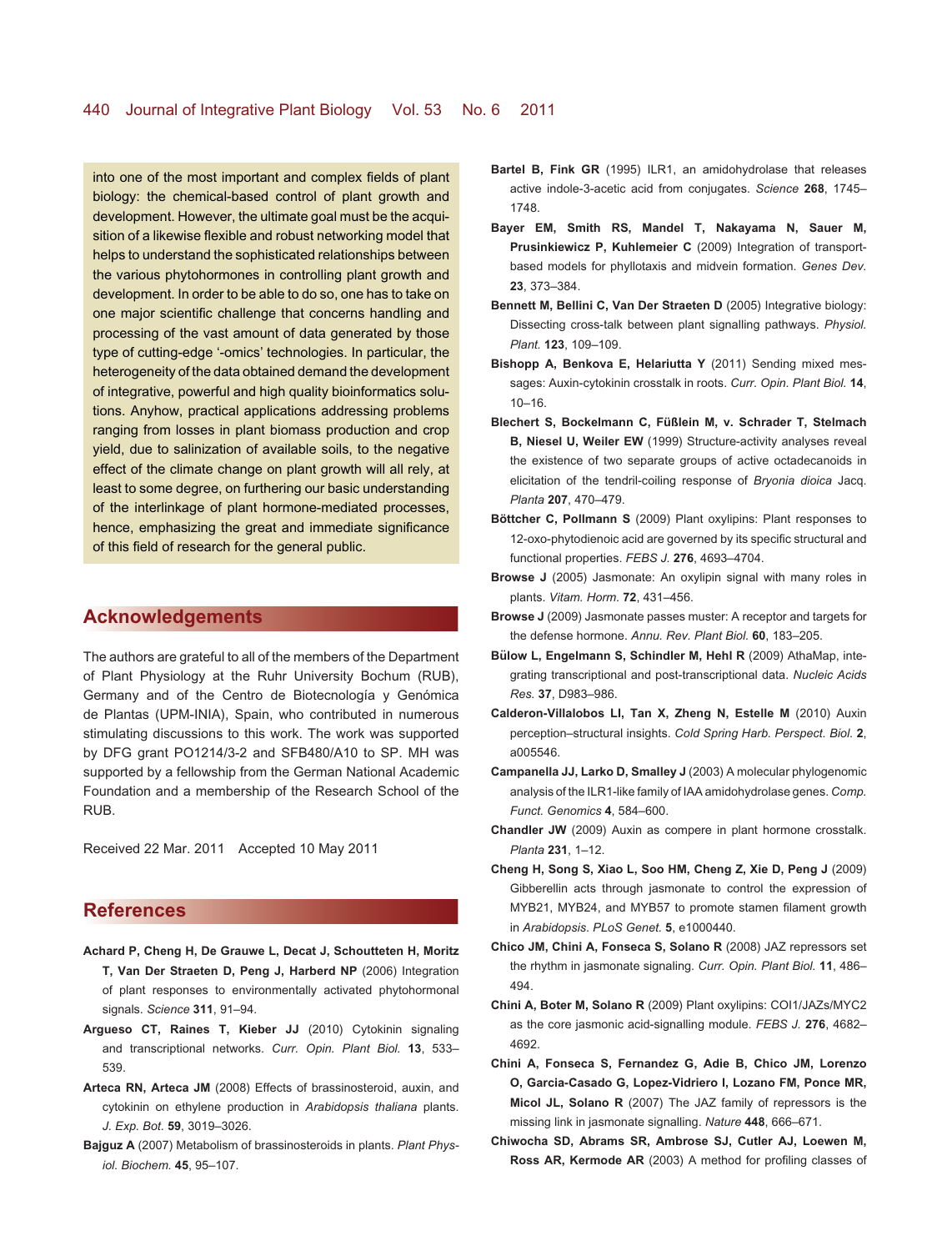into one of the most important and complex fields of plant biology: the chemical-based control of plant growth and development. However, the ultimate goal must be the acquisition of a likewise flexible and robust networking model that helps to understand the sophisticated relationships between the various phytohormones in controlling plant growth and development. In order to be able to do so, one has to take on one major scientific challenge that concerns handling and processing of the vast amount of data generated by those type of cutting-edge '-omics' technologies. In particular, the heterogeneity of the data obtained demand the development of integrative, powerful and high quality bioinformatics solutions. Anyhow, practical applications addressing problems ranging from losses in plant biomass production and crop yield, due to salinization of available soils, to the negative effect of the climate change on plant growth will all rely, at least to some degree, on furthering our basic understanding of the interlinkage of plant hormone-mediated processes, hence, emphasizing the great and immediate significance of this field of research for the general public.

#### **[Acknowledgements](/app/teTeX/techbooks/blackwell/jipb/Head.eps)**

The authors are grateful to all of the members of the Department of Plant Physiology at the Ruhr University Bochum (RUB), Germany and of the Centro de Biotecnología y Genómica de Plantas (UPM-INIA), Spain, who contributed in numerous stimulating discussions to this work. The work was supported by DFG grant PO1214/3-2 and SFB480/A10 to SP. MH was supported by a fellowship from the German National Academic Foundation and a membership of the Research School of the RUB.

Received 22 Mar. 2011 Accepted 10 May 2011

## **[References](/app/teTeX/techbooks/blackwell/jipb/Head.eps)**

- <span id="page-11-13"></span>**Achard P, Cheng H, De Grauwe L, Decat J, Schoutteten H, Moritz T, Van Der Straeten D, Peng J, Harberd NP** (2006) Integration of plant responses to environmentally activated phytohormonal signals. *Science* **311**, 91–94.
- <span id="page-11-5"></span>**Argueso CT, Raines T, Kieber JJ** (2010) Cytokinin signaling and transcriptional networks. *Curr. Opin. Plant Biol.* **13**, 533– 539.
- <span id="page-11-4"></span>**Arteca RN, Arteca JM** (2008) Effects of brassinosteroid, auxin, and cytokinin on ethylene production in *Arabidopsis thaliana* plants. *J. Exp. Bot.* **59**, 3019–3026.
- <span id="page-11-3"></span>**Bajguz A** (2007) Metabolism of brassinosteroids in plants. *Plant Physiol. Biochem.* **45**, 95–107.
- <span id="page-11-16"></span>**Bartel B, Fink GR** (1995) ILR1, an amidohydrolase that releases active indole-3-acetic acid from conjugates. *Science* **268**, 1745– 1748.
- <span id="page-11-2"></span>**Bayer EM, Smith RS, Mandel T, Nakayama N, Sauer M, Prusinkiewicz P, Kuhlemeier C** (2009) Integration of transportbased models for phyllotaxis and midvein formation. *Genes Dev.* **23**, 373–384.
- <span id="page-11-1"></span>**Bennett M, Bellini C, Van Der Straeten D** (2005) Integrative biology: Dissecting cross-talk between plant signalling pathways. *Physiol. Plant.* **123**, 109–109.
- <span id="page-11-7"></span>**Bishopp A, Benkova E, Helariutta Y** (2011) Sending mixed messages: Auxin-cytokinin crosstalk in roots. *Curr. Opin. Plant Biol.* **14**, 10–16.
- <span id="page-11-20"></span>**Blechert S, Bockelmann C, Fußlein M, v. Schrader T, Stelmach ¨ B, Niesel U, Weiler EW** (1999) Structure-activity analyses reveal the existence of two separate groups of active octadecanoids in elicitation of the tendril-coiling response of *Bryonia dioica* Jacq. *Planta* **207**, 470–479.
- <span id="page-11-19"></span>**Böttcher C, Pollmann S** (2009) Plant oxylipins: Plant responses to 12-oxo-phytodienoic acid are governed by its specific structural and functional properties. *FEBS J.* **276**, 4693–4704.
- <span id="page-11-18"></span>**Browse J** (2005) Jasmonate: An oxylipin signal with many roles in plants. *Vitam. Horm.* **72**, 431–456.
- <span id="page-11-0"></span>**Browse J** (2009) Jasmonate passes muster: A receptor and targets for the defense hormone. *Annu. Rev. Plant Biol.* **60**, 183–205.
- <span id="page-11-15"></span>**Bülow L, Engelmann S, Schindler M, Hehl R (2009) AthaMap, inte**grating transcriptional and post-transcriptional data. *Nucleic Acids Res.* **37**, D983–986.
- <span id="page-11-10"></span>**Calderon-Villalobos LI, Tan X, Zheng N, Estelle M** (2010) Auxin perception–structural insights. *Cold Spring Harb. Perspect. Biol.* **2**, a005546.
- <span id="page-11-17"></span>**Campanella JJ, Larko D, Smalley J** (2003) A molecular phylogenomic analysis of the ILR1-like family of IAA amidohydrolase genes. *Comp. Funct. Genomics* **4**, 584–600.
- <span id="page-11-6"></span>**Chandler JW** (2009) Auxin as compere in plant hormone crosstalk. *Planta* **231**, 1–12.
- <span id="page-11-14"></span>**Cheng H, Song S, Xiao L, Soo HM, Cheng Z, Xie D, Peng J** (2009) Gibberellin acts through jasmonate to control the expression of MYB21, MYB24, and MYB57 to promote stamen filament growth in *Arabidopsis*. *PLoS Genet.* **5**, e1000440.
- <span id="page-11-11"></span>**Chico JM, Chini A, Fonseca S, Solano R** (2008) JAZ repressors set the rhythm in jasmonate signaling. *Curr. Opin. Plant Biol.* **11**, 486– 494.
- <span id="page-11-12"></span>**Chini A, Boter M, Solano R** (2009) Plant oxylipins: COI1/JAZs/MYC2 as the core jasmonic acid-signalling module. *FEBS J.* **276**, 4682– 4692.
- <span id="page-11-9"></span>**Chini A, Fonseca S, Fernandez G, Adie B, Chico JM, Lorenzo O, Garcia-Casado G, Lopez-Vidriero I, Lozano FM, Ponce MR, Micol JL, Solano R** (2007) The JAZ family of repressors is the missing link in jasmonate signalling. *Nature* **448**, 666–671.
- <span id="page-11-8"></span>**Chiwocha SD, Abrams SR, Ambrose SJ, Cutler AJ, Loewen M, Ross AR, Kermode AR** (2003) A method for profiling classes of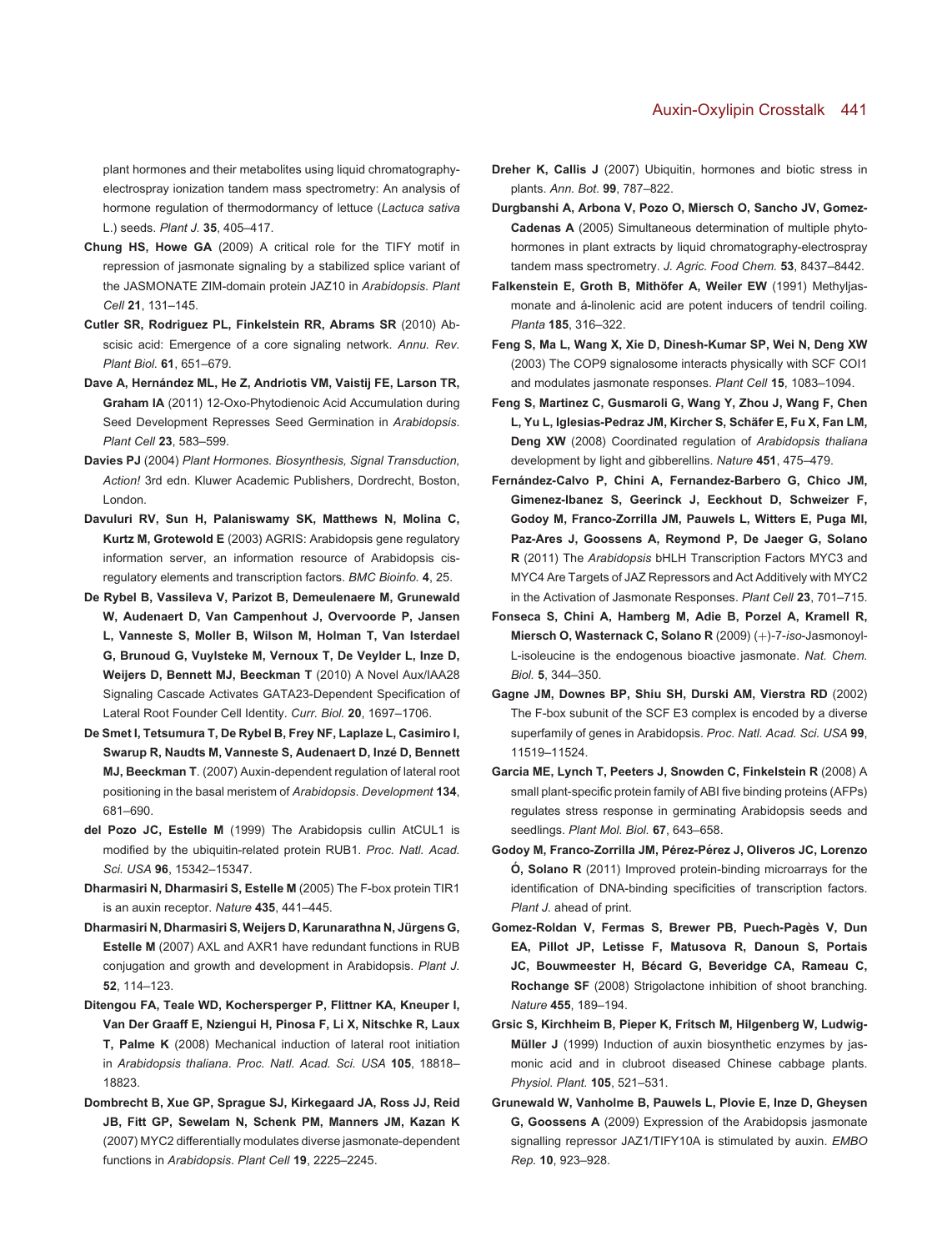plant hormones and their metabolites using liquid chromatographyelectrospray ionization tandem mass spectrometry: An analysis of hormone regulation of thermodormancy of lettuce (*Lactuca sativa* L.) seeds. *Plant J.* **35**, 405–417.

- <span id="page-12-7"></span>**Chung HS, Howe GA** (2009) A critical role for the TIFY motif in repression of jasmonate signaling by a stabilized splice variant of the JASMONATE ZIM-domain protein JAZ10 in *Arabidopsis*. *Plant Cell* **21**, 131–145.
- <span id="page-12-12"></span>**Cutler SR, Rodriguez PL, Finkelstein RR, Abrams SR** (2010) Abscisic acid: Emergence of a core signaling network. *Annu. Rev. Plant Biol.* **61**, 651–679.
- <span id="page-12-13"></span>**Dave A, Hernandez ML, He Z, Andriotis VM, Vaistij FE, Larson TR, ´ Graham IA** (2011) 12-Oxo-Phytodienoic Acid Accumulation during Seed Development Represses Seed Germination in *Arabidopsis*. *Plant Cell* **23**, 583–599.
- <span id="page-12-0"></span>**Davies PJ** (2004) *Plant Hormones. Biosynthesis, Signal Transduction, Action!* 3rd edn. Kluwer Academic Publishers, Dordrecht, Boston, London.
- <span id="page-12-17"></span>**Davuluri RV, Sun H, Palaniswamy SK, Matthews N, Molina C, Kurtz M, Grotewold E** (2003) AGRIS: Arabidopsis gene regulatory information server, an information resource of Arabidopsis cisregulatory elements and transcription factors. *BMC Bioinfo.* **4**, 25.
- <span id="page-12-21"></span>**De Rybel B, Vassileva V, Parizot B, Demeulenaere M, Grunewald W, Audenaert D, Van Campenhout J, Overvoorde P, Jansen L, Vanneste S, Moller B, Wilson M, Holman T, Van Isterdael G, Brunoud G, Vuylsteke M, Vernoux T, De Veylder L, Inze D, Weijers D, Bennett MJ, Beeckman T** (2010) A Novel Aux/IAA28 Signaling Cascade Activates GATA23-Dependent Specification of Lateral Root Founder Cell Identity. *Curr. Biol.* **20**, 1697–1706.
- <span id="page-12-22"></span>**De Smet I, Tetsumura T, De Rybel B, Frey NF, Laplaze L, Casimiro I, Swarup R, Naudts M, Vanneste S, Audenaert D, Inze D, Bennett ´ MJ, Beeckman T**. (2007) Auxin-dependent regulation of lateral root positioning in the basal meristem of *Arabidopsis*. *Development* **134**, 681–690.
- <span id="page-12-9"></span>**del Pozo JC, Estelle M** (1999) The Arabidopsis cullin AtCUL1 is modified by the ubiquitin-related protein RUB1. *Proc. Natl. Acad. Sci. USA* **96**, 15342–15347.
- <span id="page-12-3"></span>**Dharmasiri N, Dharmasiri S, Estelle M** (2005) The F-box protein TIR1 is an auxin receptor. *Nature* **435**, 441–445.
- <span id="page-12-8"></span>**Dharmasiri N, Dharmasiri S, Weijers D, Karunarathna N, Jurgens G, ¨ Estelle M** (2007) AXL and AXR1 have redundant functions in RUB conjugation and growth and development in Arabidopsis. *Plant J.* **52**, 114–123.
- <span id="page-12-23"></span>**Ditengou FA, Teale WD, Kochersperger P, Flittner KA, Kneuper I, Van Der Graaff E, Nziengui H, Pinosa F, Li X, Nitschke R, Laux T, Palme K** (2008) Mechanical induction of lateral root initiation in *Arabidopsis thaliana*. *Proc. Natl. Acad. Sci. USA* **105**, 18818– 18823.
- <span id="page-12-19"></span>**Dombrecht B, Xue GP, Sprague SJ, Kirkegaard JA, Ross JJ, Reid JB, Fitt GP, Sewelam N, Schenk PM, Manners JM, Kazan K** (2007) MYC2 differentially modulates diverse jasmonate-dependent functions in *Arabidopsis*. *Plant Cell* **19**, 2225–2245.
- <span id="page-12-4"></span>**Dreher K, Callis J** (2007) Ubiquitin, hormones and biotic stress in plants. *Ann. Bot.* **99**, 787–822.
- <span id="page-12-2"></span>**Durgbanshi A, Arbona V, Pozo O, Miersch O, Sancho JV, Gomez-Cadenas A** (2005) Simultaneous determination of multiple phytohormones in plant extracts by liquid chromatography-electrospray tandem mass spectrometry. *J. Agric. Food Chem.* **53**, 8437–8442.
- <span id="page-12-24"></span>Falkenstein E, Groth B, Mithöfer A, Weiler EW (1991) Methyljasmonate and á-linolenic acid are potent inducers of tendril coiling. *Planta* **185**, 316–322.
- <span id="page-12-10"></span>**Feng S, Ma L, Wang X, Xie D, Dinesh-Kumar SP, Wei N, Deng XW** (2003) The COP9 signalosome interacts physically with SCF COI1 and modulates jasmonate responses. *Plant Cell* **15**, 1083–1094.
- <span id="page-12-14"></span>**Feng S, Martinez C, Gusmaroli G, Wang Y, Zhou J, Wang F, Chen L, Yu L, Iglesias-Pedraz JM, Kircher S, Schafer E, Fu X, Fan LM, ¨ Deng XW** (2008) Coordinated regulation of *Arabidopsis thaliana* development by light and gibberellins. *Nature* **451**, 475–479.
- <span id="page-12-15"></span>**Fernandez-Calvo P, Chini A, Fernandez-Barbero G, Chico JM, ´ Gimenez-Ibanez S, Geerinck J, Eeckhout D, Schweizer F, Godoy M, Franco-Zorrilla JM, Pauwels L, Witters E, Puga MI, Paz-Ares J, Goossens A, Reymond P, De Jaeger G, Solano R** (2011) The *Arabidopsis* bHLH Transcription Factors MYC3 and MYC4 Are Targets of JAZ Repressors and Act Additively with MYC2 in the Activation of Jasmonate Responses. *Plant Cell* **23**, 701–715.
- <span id="page-12-6"></span>**Fonseca S, Chini A, Hamberg M, Adie B, Porzel A, Kramell R, Miersch O, Wasternack C, Solano R** (2009) (+)-7-*iso*-Jasmonoyl-L-isoleucine is the endogenous bioactive jasmonate. *Nat. Chem. Biol.* **5**, 344–350.
- <span id="page-12-5"></span>**Gagne JM, Downes BP, Shiu SH, Durski AM, Vierstra RD** (2002) The F-box subunit of the SCF E3 complex is encoded by a diverse superfamily of genes in Arabidopsis. *Proc. Natl. Acad. Sci. USA* **99**, 11519–11524.
- <span id="page-12-11"></span>**Garcia ME, Lynch T, Peeters J, Snowden C, Finkelstein R** (2008) A small plant-specific protein family of ABI five binding proteins (AFPs) regulates stress response in germinating Arabidopsis seeds and seedlings. *Plant Mol. Biol.* **67**, 643–658.
- <span id="page-12-18"></span>**Godoy M, Franco-Zorrilla JM, Pérez-Pérez J, Oliveros JC, Lorenzo Ó, Solano R** (2011) Improved protein-binding microarrays for the identification of DNA-binding specificities of transcription factors. *Plant J.* ahead of print.
- <span id="page-12-1"></span>**Gomez-Roldan V, Fermas S, Brewer PB, Puech-Pages V, Dun ` EA, Pillot JP, Letisse F, Matusova R, Danoun S, Portais JC, Bouwmeester H, Becard G, Beveridge CA, Rameau C, ´ Rochange SF** (2008) Strigolactone inhibition of shoot branching. *Nature* **455**, 189–194.
- <span id="page-12-20"></span>**Grsic S, Kirchheim B, Pieper K, Fritsch M, Hilgenberg W, Ludwig-Müller J** (1999) Induction of auxin biosynthetic enzymes by jasmonic acid and in clubroot diseased Chinese cabbage plants. *Physiol. Plant.* **105**, 521–531.
- <span id="page-12-16"></span>**Grunewald W, Vanholme B, Pauwels L, Plovie E, Inze D, Gheysen G, Goossens A** (2009) Expression of the Arabidopsis jasmonate signalling repressor JAZ1/TIFY10A is stimulated by auxin. *EMBO Rep.* **10**, 923–928.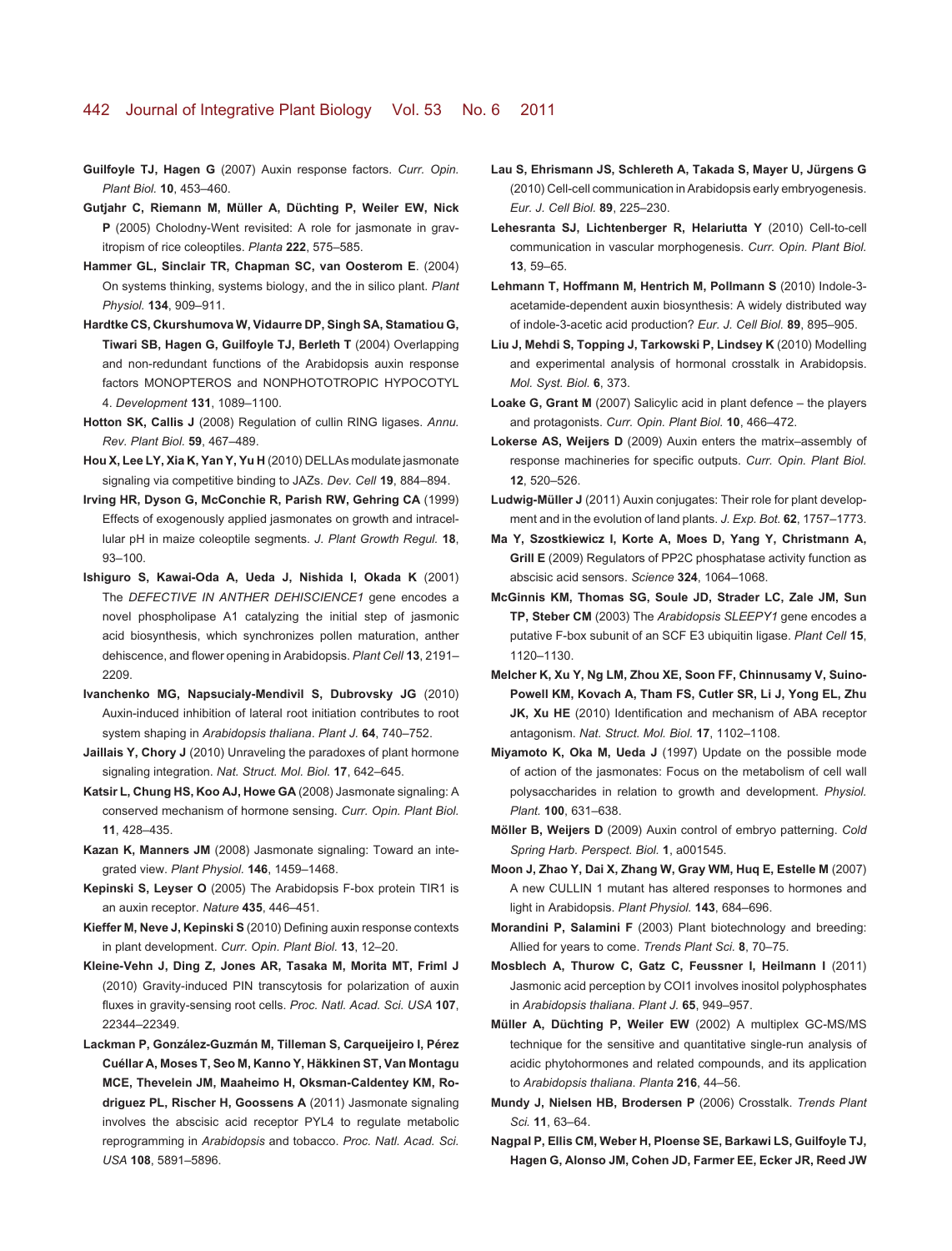#### 442 Journal of Integrative Plant Biology Vol. 53 No. 6 2011

- <span id="page-13-17"></span>**Guilfoyle TJ, Hagen G** (2007) Auxin response factors. *Curr. Opin. Plant Biol.* **10**, 453–460.
- <span id="page-13-29"></span>**Gutjahr C, Riemann M, Müller A, Düchting P, Weiler EW, Nick P** (2005) Cholodny-Went revisited: A role for jasmonate in gravitropism of rice coleoptiles. *Planta* **222**, 575–585.
- <span id="page-13-7"></span>**Hammer GL, Sinclair TR, Chapman SC, van Oosterom E**. (2004) On systems thinking, systems biology, and the in silico plant. *Plant Physiol.* **134**, 909–911.
- **Hardtke CS, Ckurshumova W, Vidaurre DP, Singh SA, Stamatiou G, Tiwari SB, Hagen G, Guilfoyle TJ, Berleth T** (2004) Overlapping and non-redundant functions of the Arabidopsis auxin response factors MONOPTEROS and NONPHOTOTROPIC HYPOCOTYL 4. *Development* **131**, 1089–1100.
- <span id="page-13-20"></span>**Hotton SK, Callis J** (2008) Regulation of cullin RING ligases. *Annu. Rev. Plant Biol.* **59**, 467–489.
- <span id="page-13-21"></span>**Hou X, Lee LY, Xia K, Yan Y, Yu H** (2010) DELLAs modulate jasmonate signaling via competitive binding to JAZs. *Dev. Cell* **19**, 884–894.
- <span id="page-13-28"></span>**Irving HR, Dyson G, McConchie R, Parish RW, Gehring CA** (1999) Effects of exogenously applied jasmonates on growth and intracellular pH in maize coleoptile segments. *J. Plant Growth Regul.* **18**, 93–100.
- <span id="page-13-24"></span>**Ishiguro S, Kawai-Oda A, Ueda J, Nishida I, Okada K** (2001) The *DEFECTIVE IN ANTHER DEHISCIENCE1* gene encodes a novel phospholipase A1 catalyzing the initial step of jasmonic acid biosynthesis, which synchronizes pollen maturation, anther dehiscence, and flower opening in Arabidopsis. *Plant Cell* **13**, 2191– 2209.
- <span id="page-13-31"></span>**Ivanchenko MG, Napsucialy-Mendivil S, Dubrovsky JG** (2010) Auxin-induced inhibition of lateral root initiation contributes to root system shaping in *Arabidopsis thaliana*. *Plant J.* **64**, 740–752.
- <span id="page-13-11"></span>**Jaillais Y, Chory J** (2010) Unraveling the paradoxes of plant hormone signaling integration. *Nat. Struct. Mol. Biol.* **17**, 642–645.
- **Katsir L, Chung HS, Koo AJ, Howe GA** (2008) Jasmonate signaling: A conserved mechanism of hormone sensing. *Curr. Opin. Plant Biol.* **11**, 428–435.
- <span id="page-13-3"></span>**Kazan K, Manners JM** (2008) Jasmonate signaling: Toward an integrated view. *Plant Physiol.* **146**, 1459–1468.
- <span id="page-13-12"></span>**Kepinski S, Leyser O** (2005) The Arabidopsis F-box protein TIR1 is an auxin receptor. *Nature* **435**, 446–451.
- <span id="page-13-15"></span>**Kieffer M, Neve J, Kepinski S** (2010) Defining auxin response contexts in plant development. *Curr. Opin. Plant Biol.* **13**, 12–20.
- <span id="page-13-30"></span>**Kleine-Vehn J, Ding Z, Jones AR, Tasaka M, Morita MT, Friml J** (2010) Gravity-induced PIN transcytosis for polarization of auxin fluxes in gravity-sensing root cells. *Proc. Natl. Acad. Sci. USA* **107**, 22344–22349.
- <span id="page-13-9"></span>**Lackman P, González-Guzmán M, Tilleman S, Carqueijeiro I, Pérez Cuellar A, Moses T, Seo M, Kanno Y, H ´ akkinen ST, Van Montagu ¨ MCE, Thevelein JM, Maaheimo H, Oksman-Caldentey KM, Rodriguez PL, Rischer H, Goossens A** (2011) Jasmonate signaling involves the abscisic acid receptor PYL4 to regulate metabolic reprogramming in *Arabidopsis* and tobacco. *Proc. Natl. Acad. Sci. USA* **108**, 5891–5896.
- <span id="page-13-0"></span>Lau S, Ehrismann JS, Schlereth A, Takada S, Mayer U, Jürgens G (2010) Cell-cell communication in Arabidopsis early embryogenesis. *Eur. J. Cell Biol.* **89**, 225–230.
- <span id="page-13-1"></span>**Lehesranta SJ, Lichtenberger R, Helariutta Y** (2010) Cell-to-cell communication in vascular morphogenesis. *Curr. Opin. Plant Biol.* **13**, 59–65.
- <span id="page-13-26"></span>**Lehmann T, Hoffmann M, Hentrich M, Pollmann S** (2010) Indole-3 acetamide-dependent auxin biosynthesis: A widely distributed way of indole-3-acetic acid production? *Eur. J. Cell Biol.* **89**, 895–905.
- <span id="page-13-25"></span>**Liu J, Mehdi S, Topping J, Tarkowski P, Lindsey K** (2010) Modelling and experimental analysis of hormonal crosstalk in Arabidopsis. *Mol. Syst. Biol.* **6**, 373.
- <span id="page-13-2"></span>**Loake G, Grant M** (2007) Salicylic acid in plant defence – the players and protagonists. *Curr. Opin. Plant Biol.* **10**, 466–472.
- <span id="page-13-22"></span>**Lokerse AS, Weijers D** (2009) Auxin enters the matrix–assembly of response machineries for specific outputs. *Curr. Opin. Plant Biol.* **12**, 520–526.
- <span id="page-13-5"></span>**Ludwig-Müller J** (2011) Auxin conjugates: Their role for plant development and in the evolution of land plants. *J. Exp. Bot.* **62**, 1757–1773.
- <span id="page-13-13"></span>**Ma Y, Szostkiewicz I, Korte A, Moes D, Yang Y, Christmann A, Grill E** (2009) Regulators of PP2C phosphatase activity function as abscisic acid sensors. *Science* **324**, 1064–1068.
- <span id="page-13-18"></span>**McGinnis KM, Thomas SG, Soule JD, Strader LC, Zale JM, Sun TP, Steber CM** (2003) The *Arabidopsis SLEEPY1* gene encodes a putative F-box subunit of an SCF E3 ubiquitin ligase. *Plant Cell* **15**, 1120–1130.
- <span id="page-13-14"></span>**Melcher K, Xu Y, Ng LM, Zhou XE, Soon FF, Chinnusamy V, Suino-Powell KM, Kovach A, Tham FS, Cutler SR, Li J, Yong EL, Zhu JK, Xu HE** (2010) Identification and mechanism of ABA receptor antagonism. *Nat. Struct. Mol. Biol.* **17**, 1102–1108.
- <span id="page-13-27"></span>**Miyamoto K, Oka M, Ueda J** (1997) Update on the possible mode of action of the jasmonates: Focus on the metabolism of cell wall polysaccharides in relation to growth and development. *Physiol. Plant.* **100**, 631–638.
- <span id="page-13-4"></span>**Möller B, Weijers D** (2009) Auxin control of embryo patterning. Cold *Spring Harb. Perspect. Biol.* **1**, a001545.
- <span id="page-13-19"></span>**Moon J, Zhao Y, Dai X, Zhang W, Gray WM, Huq E, Estelle M** (2007) A new CULLIN 1 mutant has altered responses to hormones and light in Arabidopsis. *Plant Physiol.* **143**, 684–696.
- <span id="page-13-6"></span>**Morandini P, Salamini F** (2003) Plant biotechnology and breeding: Allied for years to come. *Trends Plant Sci.* **8**, 70–75.
- <span id="page-13-16"></span>**Mosblech A, Thurow C, Gatz C, Feussner I, Heilmann I** (2011) Jasmonic acid perception by COI1 involves inositol polyphosphates in *Arabidopsis thaliana*. *Plant J.* **65**, 949–957.
- <span id="page-13-10"></span>**Müller A, Düchting P, Weiler EW** (2002) A multiplex GC-MS/MS technique for the sensitive and quantitative single-run analysis of acidic phytohormones and related compounds, and its application to *Arabidopsis thaliana*. *Planta* **216**, 44–56.
- <span id="page-13-8"></span>**Mundy J, Nielsen HB, Brodersen P** (2006) Crosstalk. *Trends Plant Sci.* **11**, 63–64.
- <span id="page-13-23"></span>**Nagpal P, Ellis CM, Weber H, Ploense SE, Barkawi LS, Guilfoyle TJ, Hagen G, Alonso JM, Cohen JD, Farmer EE, Ecker JR, Reed JW**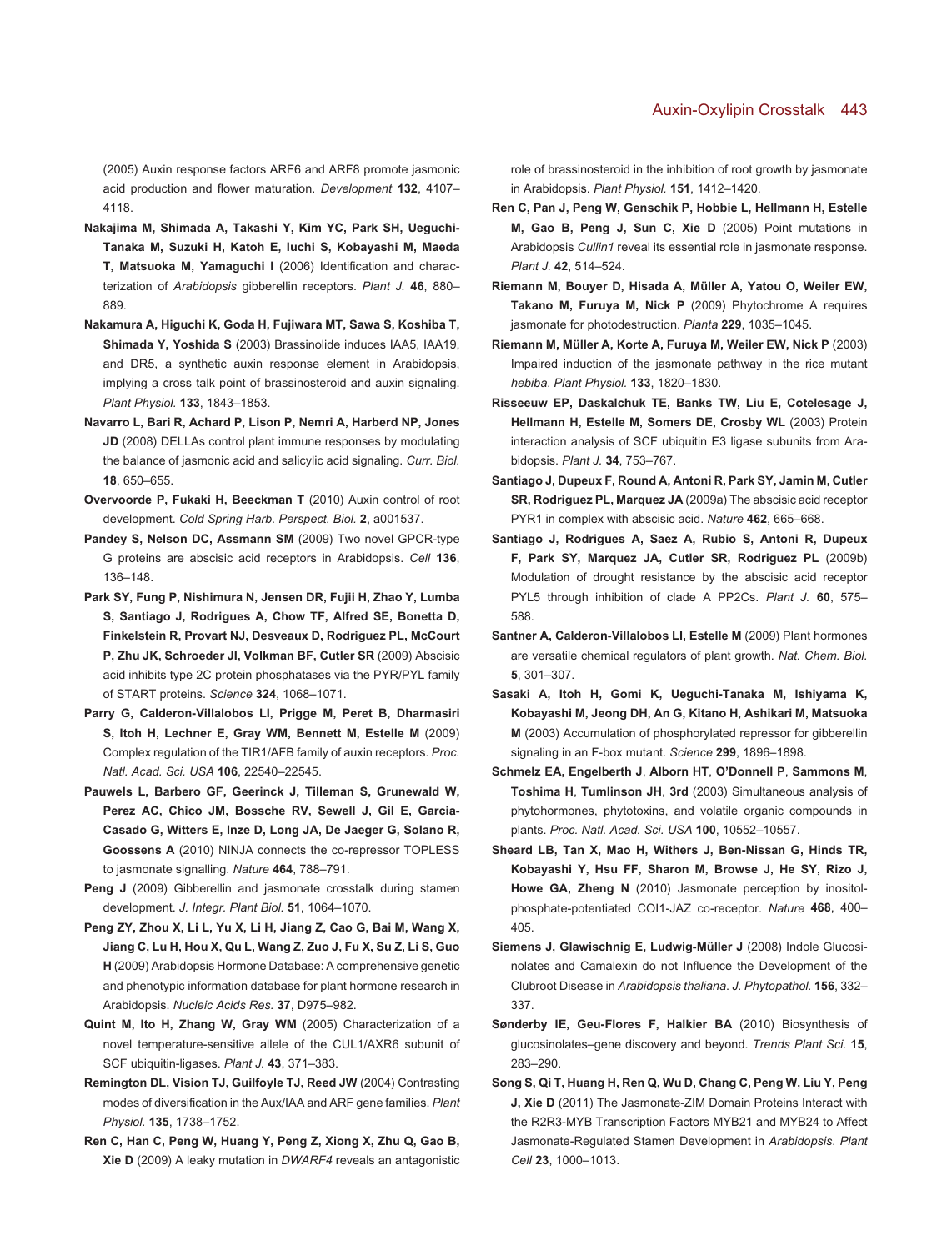(2005) Auxin response factors ARF6 and ARF8 promote jasmonic acid production and flower maturation. *Development* **132**, 4107– 4118.

- <span id="page-14-11"></span>**Nakajima M, Shimada A, Takashi Y, Kim YC, Park SH, Ueguchi-Tanaka M, Suzuki H, Katoh E, Iuchi S, Kobayashi M, Maeda T, Matsuoka M, Yamaguchi I** (2006) Identification and characterization of *Arabidopsis* gibberellin receptors. *Plant J.* **46**, 880– 889.
- <span id="page-14-19"></span>**Nakamura A, Higuchi K, Goda H, Fujiwara MT, Sawa S, Koshiba T, Shimada Y, Yoshida S** (2003) Brassinolide induces IAA5, IAA19, and DR5, a synthetic auxin response element in Arabidopsis, implying a cross talk point of brassinosteroid and auxin signaling. *Plant Physiol.* **133**, 1843–1853.
- <span id="page-14-14"></span>**Navarro L, Bari R, Achard P, Lison P, Nemri A, Harberd NP, Jones JD** (2008) DELLAs control plant immune responses by modulating the balance of jasmonic acid and salicylic acid signaling. *Curr. Biol.* **18**, 650–655.
- <span id="page-14-25"></span>**Overvoorde P, Fukaki H, Beeckman T** (2010) Auxin control of root development. *Cold Spring Harb. Perspect. Biol.* **2**, a001537.
- <span id="page-14-4"></span>**Pandey S, Nelson DC, Assmann SM** (2009) Two novel GPCR-type G proteins are abscisic acid receptors in Arabidopsis. *Cell* **136**, 136–148.
- <span id="page-14-5"></span>**Park SY, Fung P, Nishimura N, Jensen DR, Fujii H, Zhao Y, Lumba S, Santiago J, Rodrigues A, Chow TF, Alfred SE, Bonetta D, Finkelstein R, Provart NJ, Desveaux D, Rodriguez PL, McCourt P, Zhu JK, Schroeder JI, Volkman BF, Cutler SR** (2009) Abscisic acid inhibits type 2C protein phosphatases via the PYR/PYL family of START proteins. *Science* **324**, 1068–1071.
- <span id="page-14-9"></span>**Parry G, Calderon-Villalobos LI, Prigge M, Peret B, Dharmasiri S, Itoh H, Lechner E, Gray WM, Bennett M, Estelle M** (2009) Complex regulation of the TIR1/AFB family of auxin receptors. *Proc. Natl. Acad. Sci. USA* **106**, 22540–22545.
- <span id="page-14-13"></span>**Pauwels L, Barbero GF, Geerinck J, Tilleman S, Grunewald W, Perez AC, Chico JM, Bossche RV, Sewell J, Gil E, Garcia-Casado G, Witters E, Inze D, Long JA, De Jaeger G, Solano R, Goossens A** (2010) NINJA connects the co-repressor TOPLESS to jasmonate signalling. *Nature* **464**, 788–791.
- <span id="page-14-16"></span>**Peng J** (2009) Gibberellin and jasmonate crosstalk during stamen development. *J. Integr. Plant Biol.* **51**, 1064–1070.
- <span id="page-14-18"></span>**Peng ZY, Zhou X, Li L, Yu X, Li H, Jiang Z, Cao G, Bai M, Wang X, Jiang C, Lu H, Hou X, Qu L, Wang Z, Zuo J, Fu X, Su Z, Li S, Guo H** (2009) Arabidopsis Hormone Database: A comprehensive genetic and phenotypic information database for plant hormone research in Arabidopsis. *Nucleic Acids Res.* **37**, D975–982.
- <span id="page-14-12"></span>**Quint M, Ito H, Zhang W, Gray WM** (2005) Characterization of a novel temperature-sensitive allele of the CUL1/AXR6 subunit of SCF ubiquitin-ligases. *Plant J.* **43**, 371–383.
- <span id="page-14-17"></span>**Remington DL, Vision TJ, Guilfoyle TJ, Reed JW** (2004) Contrasting modes of diversification in the Aux/IAA and ARF gene families. *Plant Physiol.* **135**, 1738–1752.
- <span id="page-14-20"></span>**Ren C, Han C, Peng W, Huang Y, Peng Z, Xiong X, Zhu Q, Gao B, Xie D** (2009) A leaky mutation in *DWARF4* reveals an antagonistic

role of brassinosteroid in the inhibition of root growth by jasmonate in Arabidopsis. *Plant Physiol.* **151**, 1412–1420.

- <span id="page-14-1"></span>**Ren C, Pan J, Peng W, Genschik P, Hobbie L, Hellmann H, Estelle M, Gao B, Peng J, Sun C, Xie D** (2005) Point mutations in Arabidopsis *Cullin1* reveal its essential role in jasmonate response. *Plant J.* **42**, 514–524.
- <span id="page-14-24"></span>**Riemann M, Bouyer D, Hisada A, Muller A, Yatou O, Weiler EW, ¨ Takano M, Furuya M, Nick P** (2009) Phytochrome A requires jasmonate for photodestruction. *Planta* **229**, 1035–1045.
- <span id="page-14-23"></span>**Riemann M, Muller A, Korte A, Furuya M, Weiler EW, Nick P ¨** (2003) Impaired induction of the jasmonate pathway in the rice mutant *hebiba*. *Plant Physiol.* **133**, 1820–1830.
- <span id="page-14-8"></span>**Risseeuw EP, Daskalchuk TE, Banks TW, Liu E, Cotelesage J, Hellmann H, Estelle M, Somers DE, Crosby WL** (2003) Protein interaction analysis of SCF ubiquitin E3 ligase subunits from Arabidopsis. *Plant J.* **34**, 753–767.
- <span id="page-14-6"></span>**Santiago J, Dupeux F, Round A, Antoni R, Park SY, Jamin M, Cutler SR, Rodriguez PL, Marquez JA** (2009a) The abscisic acid receptor PYR1 in complex with abscisic acid. *Nature* **462**, 665–668.
- <span id="page-14-7"></span>**Santiago J, Rodrigues A, Saez A, Rubio S, Antoni R, Dupeux F, Park SY, Marquez JA, Cutler SR, Rodriguez PL** (2009b) Modulation of drought resistance by the abscisic acid receptor PYL5 through inhibition of clade A PP2Cs. *Plant J.* **60**, 575– 588.
- <span id="page-14-0"></span>**Santner A, Calderon-Villalobos LI, Estelle M** (2009) Plant hormones are versatile chemical regulators of plant growth. *Nat. Chem. Biol.* **5**, 301–307.
- <span id="page-14-10"></span>**Sasaki A, Itoh H, Gomi K, Ueguchi-Tanaka M, Ishiyama K, Kobayashi M, Jeong DH, An G, Kitano H, Ashikari M, Matsuoka M** (2003) Accumulation of phosphorylated repressor for gibberellin signaling in an F-box mutant. *Science* **299**, 1896–1898.
- <span id="page-14-2"></span>**Schmelz EA, Engelberth J**, **Alborn HT**, **O'Donnell P**, **Sammons M**, **Toshima H**, **Tumlinson JH**, **3rd** (2003) Simultaneous analysis of phytohormones, phytotoxins, and volatile organic compounds in plants. *Proc. Natl. Acad. Sci. USA* **100**, 10552–10557.
- <span id="page-14-3"></span>**Sheard LB, Tan X, Mao H, Withers J, Ben-Nissan G, Hinds TR, Kobayashi Y, Hsu FF, Sharon M, Browse J, He SY, Rizo J, Howe GA, Zheng N** (2010) Jasmonate perception by inositolphosphate-potentiated COI1-JAZ co-receptor. *Nature* **468**, 400– 405.
- <span id="page-14-22"></span>Siemens J, Glawischnig E, Ludwig-Müller J (2008) Indole Glucosinolates and Camalexin do not Influence the Development of the Clubroot Disease in *Arabidopsis thaliana*. *J. Phytopathol.* **156**, 332– 337.
- <span id="page-14-21"></span>**Sønderby IE, Geu-Flores F, Halkier BA** (2010) Biosynthesis of glucosinolates–gene discovery and beyond. *Trends Plant Sci.* **15**, 283–290.
- <span id="page-14-15"></span>**Song S, Qi T, Huang H, Ren Q, Wu D, Chang C, Peng W, Liu Y, Peng J, Xie D** (2011) The Jasmonate-ZIM Domain Proteins Interact with the R2R3-MYB Transcription Factors MYB21 and MYB24 to Affect Jasmonate-Regulated Stamen Development in *Arabidopsis*. *Plant Cell* **23**, 1000–1013.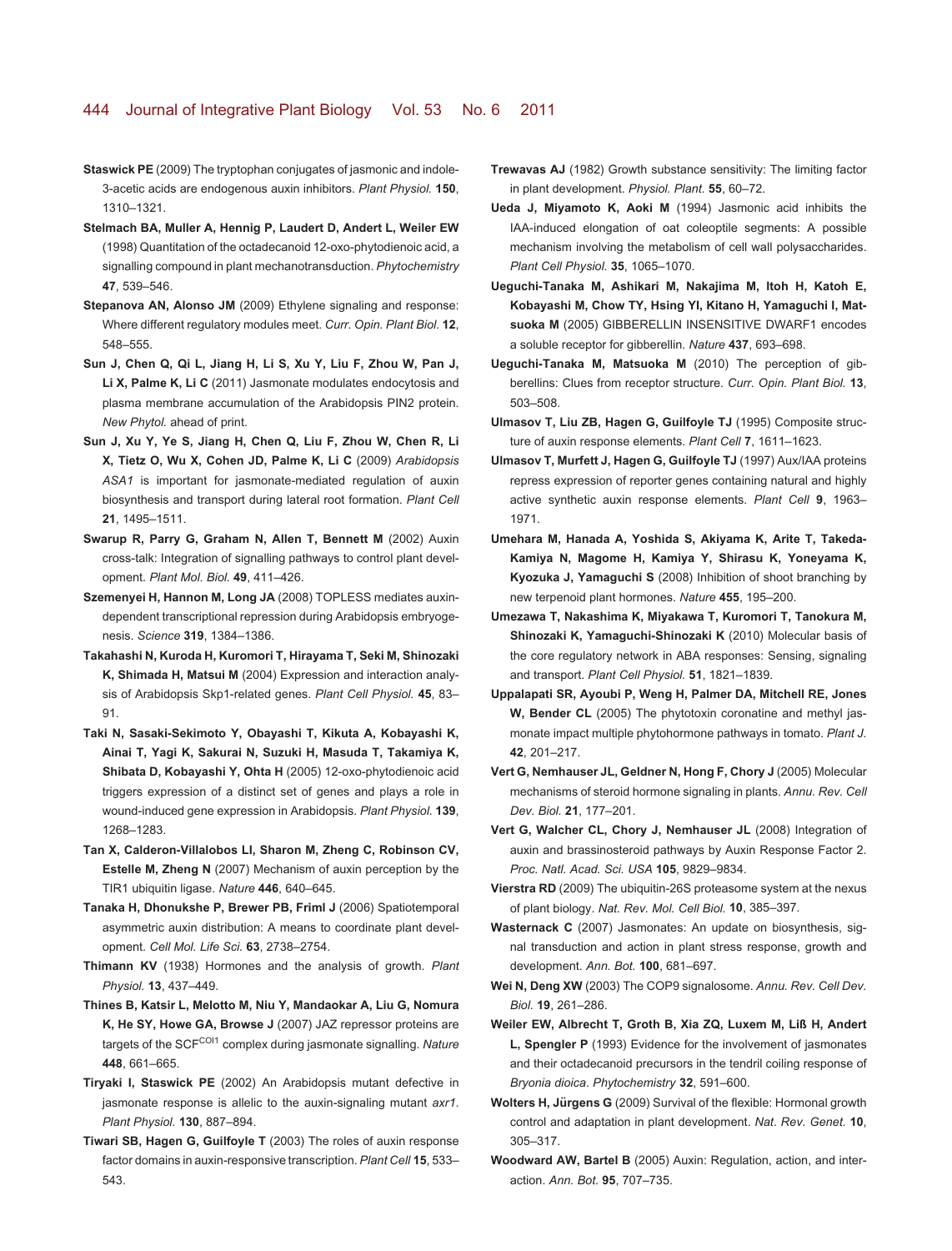#### 444 Journal of Integrative Plant Biology Vol. 53 No. 6 2011

- <span id="page-15-26"></span>**Staswick PE** (2009) The tryptophan conjugates of jasmonic and indole-3-acetic acids are endogenous auxin inhibitors. *Plant Physiol.* **150**, 1310–1321.
- <span id="page-15-31"></span>**Stelmach BA, Muller A, Hennig P, Laudert D, Andert L, Weiler EW** (1998) Quantitation of the octadecanoid 12-oxo-phytodienoic acid, a signalling compound in plant mechanotransduction. *Phytochemistry* **47**, 539–546.
- <span id="page-15-7"></span>**Stepanova AN, Alonso JM** (2009) Ethylene signaling and response: Where different regulatory modules meet. *Curr. Opin. Plant Biol.* **12**, 548–555.
- <span id="page-15-10"></span>**Sun J, Chen Q, Qi L, Jiang H, Li S, Xu Y, Liu F, Zhou W, Pan J, Li X, Palme K, Li C** (2011) Jasmonate modulates endocytosis and plasma membrane accumulation of the Arabidopsis PIN2 protein. *New Phytol.* ahead of print.
- <span id="page-15-23"></span>**Sun J, Xu Y, Ye S, Jiang H, Chen Q, Liu F, Zhou W, Chen R, Li X, Tietz O, Wu X, Cohen JD, Palme K, Li C** (2009) *Arabidopsis ASA1* is important for jasmonate-mediated regulation of auxin biosynthesis and transport during lateral root formation. *Plant Cell* **21**, 1495–1511.
- <span id="page-15-6"></span>**Swarup R, Parry G, Graham N, Allen T, Bennett M** (2002) Auxin cross-talk: Integration of signalling pathways to control plant development. *Plant Mol. Biol.* **49**, 411–426.
- <span id="page-15-19"></span>**Szemenyei H, Hannon M, Long JA** (2008) TOPLESS mediates auxindependent transcriptional repression during Arabidopsis embryogenesis. *Science* **319**, 1384–1386.
- <span id="page-15-15"></span>**Takahashi N, Kuroda H, Kuromori T, Hirayama T, Seki M, Shinozaki K, Shimada H, Matsui M** (2004) Expression and interaction analysis of Arabidopsis Skp1-related genes. *Plant Cell Physiol.* **45**, 83– 91.
- <span id="page-15-24"></span>**Taki N, Sasaki-Sekimoto Y, Obayashi T, Kikuta A, Kobayashi K, Ainai T, Yagi K, Sakurai N, Suzuki H, Masuda T, Takamiya K, Shibata D, Kobayashi Y, Ohta H** (2005) 12-oxo-phytodienoic acid triggers expression of a distinct set of genes and plays a role in wound-induced gene expression in Arabidopsis. *Plant Physiol.* **139**, 1268–1283.
- <span id="page-15-11"></span>**Tan X, Calderon-Villalobos LI, Sharon M, Zheng C, Robinson CV, Estelle M, Zheng N** (2007) Mechanism of auxin perception by the TIR1 ubiquitin ligase. *Nature* **446**, 640–645.
- <span id="page-15-0"></span>**Tanaka H, Dhonukshe P, Brewer PB, Friml J** (2006) Spatiotemporal asymmetric auxin distribution: A means to coordinate plant development. *Cell Mol. Life Sci.* **63**, 2738–2754.
- <span id="page-15-29"></span>**Thimann KV** (1938) Hormones and the analysis of growth. *Plant Physiol.* **13**, 437–449.
- <span id="page-15-13"></span>**Thines B, Katsir L, Melotto M, Niu Y, Mandaokar A, Liu G, Nomura K, He SY, Howe GA, Browse J** (2007) JAZ repressor proteins are targets of the SCFCOI1 complex during jasmonate signalling. *Nature* **448**, 661–665.
- <span id="page-15-9"></span>**Tiryaki I, Staswick PE** (2002) An Arabidopsis mutant defective in jasmonate response is allelic to the auxin-signaling mutant *axr1*. *Plant Physiol.* **130**, 887–894.
- <span id="page-15-18"></span>**Tiwari SB, Hagen G, Guilfoyle T** (2003) The roles of auxin response factor domains in auxin-responsive transcription. *Plant Cell* **15**, 533– 543.
- <span id="page-15-5"></span>**Trewavas AJ** (1982) Growth substance sensitivity: The limiting factor in plant development. *Physiol. Plant.* **55**, 60–72.
- <span id="page-15-27"></span>**Ueda J, Miyamoto K, Aoki M** (1994) Jasmonic acid inhibits the IAA-induced elongation of oat coleoptile segments: A possible mechanism involving the metabolism of cell wall polysaccharides. *Plant Cell Physiol.* **35**, 1065–1070.
- <span id="page-15-12"></span>**Ueguchi-Tanaka M, Ashikari M, Nakajima M, Itoh H, Katoh E, Kobayashi M, Chow TY, Hsing YI, Kitano H, Yamaguchi I, Matsuoka M** (2005) GIBBERELLIN INSENSITIVE DWARF1 encodes a soluble receptor for gibberellin. *Nature* **437**, 693–698.
- <span id="page-15-16"></span>**Ueguchi-Tanaka M, Matsuoka M** (2010) The perception of gibberellins: Clues from receptor structure. *Curr. Opin. Plant Biol.* **13**, 503–508.
- <span id="page-15-21"></span>**Ulmasov T, Liu ZB, Hagen G, Guilfoyle TJ** (1995) Composite structure of auxin response elements. *Plant Cell* **7**, 1611–1623.
- <span id="page-15-22"></span>**Ulmasov T, Murfett J, Hagen G, Guilfoyle TJ** (1997) Aux/IAA proteins repress expression of reporter genes containing natural and highly active synthetic auxin response elements. *Plant Cell* **9**, 1963– 1971.
- <span id="page-15-3"></span>**Umehara M, Hanada A, Yoshida S, Akiyama K, Arite T, Takeda-Kamiya N, Magome H, Kamiya Y, Shirasu K, Yoneyama K, Kyozuka J, Yamaguchi S** (2008) Inhibition of shoot branching by new terpenoid plant hormones. *Nature* **455**, 195–200.
- <span id="page-15-8"></span>**Umezawa T, Nakashima K, Miyakawa T, Kuromori T, Tanokura M, Shinozaki K, Yamaguchi-Shinozaki K** (2010) Molecular basis of the core regulatory network in ABA responses: Sensing, signaling and transport. *Plant Cell Physiol.* **51**, 1821–1839.
- <span id="page-15-25"></span>**Uppalapati SR, Ayoubi P, Weng H, Palmer DA, Mitchell RE, Jones W, Bender CL** (2005) The phytotoxin coronatine and methyl jasmonate impact multiple phytohormone pathways in tomato. *Plant J.* **42**, 201–217.
- <span id="page-15-1"></span>**Vert G, Nemhauser JL, Geldner N, Hong F, Chory J** (2005) Molecular mechanisms of steroid hormone signaling in plants. *Annu. Rev. Cell Dev. Biol.* **21**, 177–201.
- <span id="page-15-20"></span>**Vert G, Walcher CL, Chory J, Nemhauser JL** (2008) Integration of auxin and brassinosteroid pathways by Auxin Response Factor 2. *Proc. Natl. Acad. Sci. USA* **105**, 9829–9834.
- <span id="page-15-14"></span>**Vierstra RD** (2009) The ubiquitin-26S proteasome system at the nexus of plant biology. *Nat. Rev. Mol. Cell Biol.* **10**, 385–397.
- <span id="page-15-2"></span>**Wasternack C** (2007) Jasmonates: An update on biosynthesis, signal transduction and action in plant stress response, growth and development. *Ann. Bot.* **100**, 681–697.
- <span id="page-15-17"></span>**Wei N, Deng XW** (2003) The COP9 signalosome. *Annu. Rev. Cell Dev. Biol.* **19**, 261–286.
- <span id="page-15-30"></span>**Weiler EW, Albrecht T, Groth B, Xia ZQ, Luxem M, Liß H, Andert L, Spengler P** (1993) Evidence for the involvement of jasmonates and their octadecanoid precursors in the tendril coiling response of *Bryonia dioica*. *Phytochemistry* **32**, 591–600.
- <span id="page-15-4"></span>**Wolters H, Jürgens G** (2009) Survival of the flexible: Hormonal growth control and adaptation in plant development. *Nat. Rev. Genet.* **10**, 305–317.
- <span id="page-15-28"></span>**Woodward AW, Bartel B** (2005) Auxin: Regulation, action, and interaction. *Ann. Bot.* **95**, 707–735.